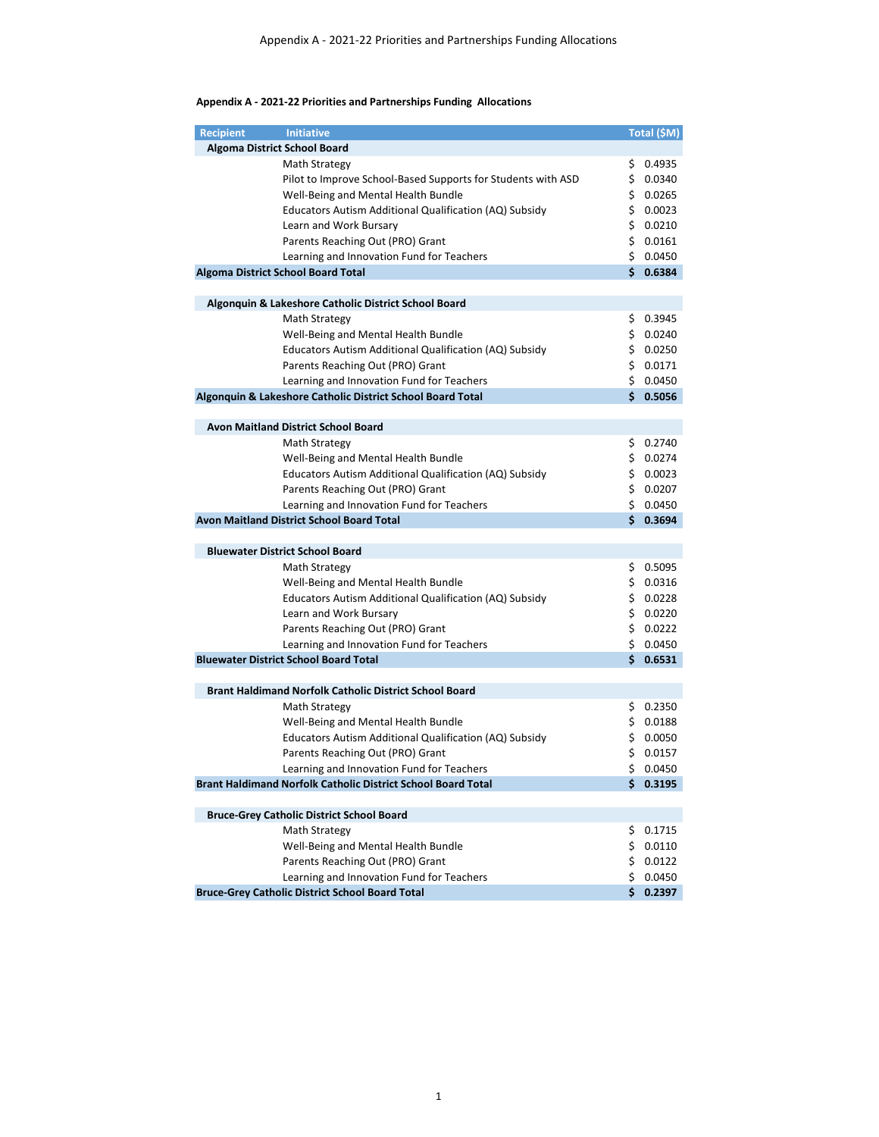## **Appendix A - 2021-22 Priorities and Partnerships Funding Allocations**

| <b>Recipient</b> | <b>Initiative</b>                                                                                   |          | Total (\$M)      |
|------------------|-----------------------------------------------------------------------------------------------------|----------|------------------|
|                  | Algoma District School Board                                                                        |          |                  |
|                  | Math Strategy                                                                                       |          | \$0.4935         |
|                  | Pilot to Improve School-Based Supports for Students with ASD                                        |          | \$0.0340         |
|                  | Well-Being and Mental Health Bundle                                                                 |          | \$0.0265         |
|                  | Educators Autism Additional Qualification (AQ) Subsidy                                              |          | \$0.0023         |
|                  | Learn and Work Bursary                                                                              |          | \$0.0210         |
|                  | Parents Reaching Out (PRO) Grant                                                                    |          | \$0.0161         |
|                  | Learning and Innovation Fund for Teachers                                                           |          | \$0.0450         |
|                  | Algoma District School Board Total                                                                  |          | \$0.6384         |
|                  |                                                                                                     |          |                  |
|                  | Algonquin & Lakeshore Catholic District School Board                                                |          |                  |
|                  | Math Strategy                                                                                       |          | \$0.3945         |
|                  | Well-Being and Mental Health Bundle                                                                 |          | \$0.0240         |
|                  | Educators Autism Additional Qualification (AQ) Subsidy                                              |          | \$0.0250         |
|                  | Parents Reaching Out (PRO) Grant                                                                    |          | \$0.0171         |
|                  | Learning and Innovation Fund for Teachers                                                           |          | \$0.0450         |
|                  | Algonquin & Lakeshore Catholic District School Board Total                                          |          | \$0.5056         |
|                  |                                                                                                     |          |                  |
|                  | <b>Avon Maitland District School Board</b>                                                          |          |                  |
|                  | Math Strategy                                                                                       |          | \$0.2740         |
|                  | Well-Being and Mental Health Bundle                                                                 |          | \$0.0274         |
|                  | Educators Autism Additional Qualification (AQ) Subsidy                                              |          | \$0.0023         |
|                  | Parents Reaching Out (PRO) Grant                                                                    |          | \$0.0207         |
|                  | Learning and Innovation Fund for Teachers                                                           |          | \$0.0450         |
|                  | Avon Maitland District School Board Total                                                           |          | \$0.3694         |
|                  |                                                                                                     |          |                  |
|                  | <b>Bluewater District School Board</b>                                                              |          |                  |
|                  | Math Strategy                                                                                       |          | \$0.5095         |
|                  | Well-Being and Mental Health Bundle                                                                 |          | \$0.0316         |
|                  | Educators Autism Additional Qualification (AQ) Subsidy                                              |          | \$0.0228         |
|                  | Learn and Work Bursary                                                                              |          | \$0.0220         |
|                  | Parents Reaching Out (PRO) Grant                                                                    |          | \$0.0222         |
|                  | Learning and Innovation Fund for Teachers                                                           |          | \$0.0450         |
|                  | <b>Bluewater District School Board Total</b>                                                        | Ś.       | 0.6531           |
|                  |                                                                                                     |          |                  |
|                  | <b>Brant Haldimand Norfolk Catholic District School Board</b>                                       |          |                  |
|                  | <b>Math Strategy</b>                                                                                |          | \$0.2350         |
|                  | Well-Being and Mental Health Bundle                                                                 |          | \$0.0188         |
|                  | Educators Autism Additional Qualification (AQ) Subsidy                                              |          | \$0.0050         |
|                  | Parents Reaching Out (PRO) Grant                                                                    |          | \$0.0157         |
|                  | Learning and Innovation Fund for Teachers                                                           |          | \$0.0450         |
|                  | Brant Haldimand Norfolk Catholic District School Board Total                                        |          | \$0.3195         |
|                  |                                                                                                     |          |                  |
|                  | <b>Bruce-Grey Catholic District School Board</b>                                                    |          |                  |
|                  | Math Strategy                                                                                       |          | \$0.1715         |
|                  | Well-Being and Mental Health Bundle                                                                 |          | \$0.0110         |
|                  | Parents Reaching Out (PRO) Grant                                                                    |          | \$0.0122         |
|                  | Learning and Innovation Fund for Teachers<br><b>Bruce-Grey Catholic District School Board Total</b> | \$<br>Ś. | 0.0450<br>0.2397 |
|                  |                                                                                                     |          |                  |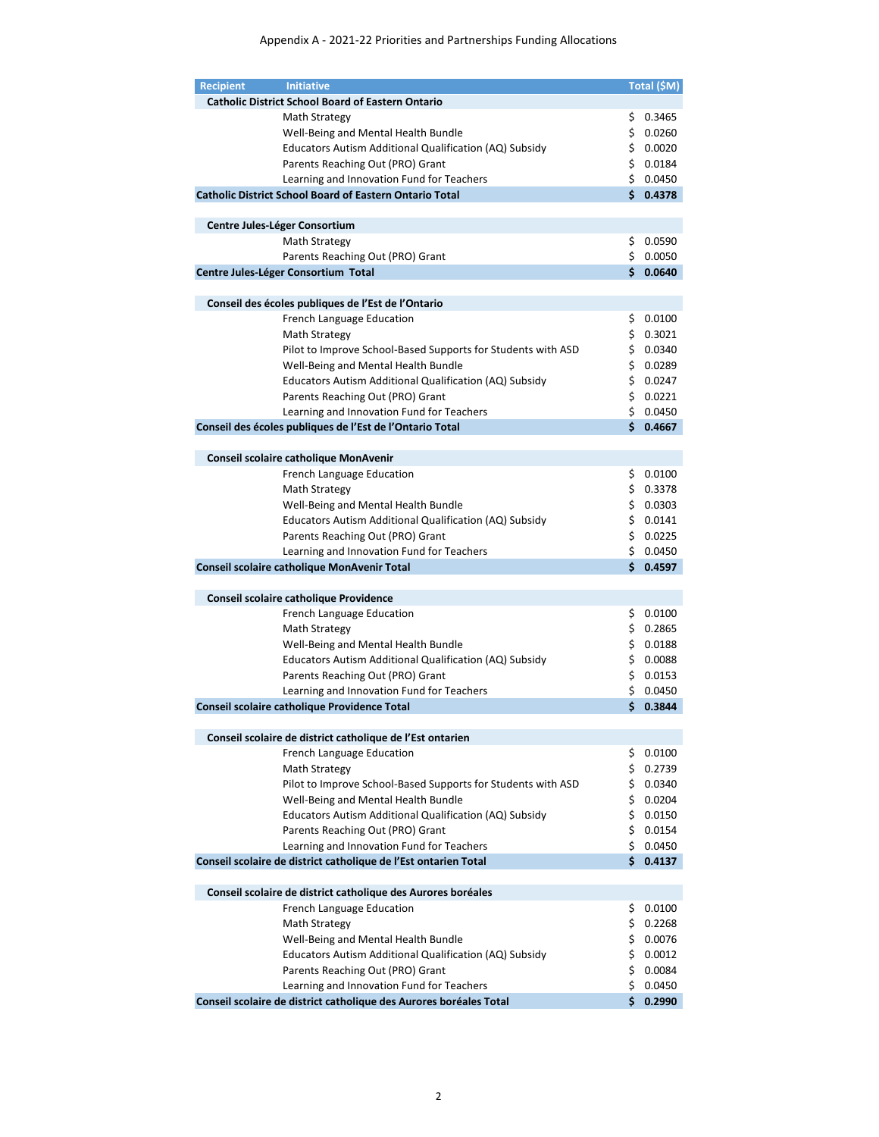| <b>Recipient</b> | <b>Initiative</b>                                                  |     | Total (\$M) |
|------------------|--------------------------------------------------------------------|-----|-------------|
|                  | <b>Catholic District School Board of Eastern Ontario</b>           |     |             |
|                  | Math Strategy                                                      | \$. | 0.3465      |
|                  | Well-Being and Mental Health Bundle                                |     | \$0.0260    |
|                  | Educators Autism Additional Qualification (AQ) Subsidy             |     | \$0.0020    |
|                  | Parents Reaching Out (PRO) Grant                                   |     | \$0.0184    |
|                  | Learning and Innovation Fund for Teachers                          |     | \$0.0450    |
|                  | <b>Catholic District School Board of Eastern Ontario Total</b>     | Ś.  | 0.4378      |
|                  |                                                                    |     |             |
|                  | Centre Jules-Léger Consortium                                      |     |             |
|                  |                                                                    |     | \$0.0590    |
|                  | Math Strategy                                                      |     | \$0.0050    |
|                  | Parents Reaching Out (PRO) Grant                                   | Ś.  |             |
|                  | Centre Jules-Léger Consortium Total                                |     | 0.0640      |
|                  |                                                                    |     |             |
|                  | Conseil des écoles publiques de l'Est de l'Ontario                 |     |             |
|                  | <b>French Language Education</b>                                   |     | \$0.0100    |
|                  | Math Strategy                                                      |     | \$0.3021    |
|                  | Pilot to Improve School-Based Supports for Students with ASD       |     | \$0.0340    |
|                  | Well-Being and Mental Health Bundle                                |     | \$0.0289    |
|                  | Educators Autism Additional Qualification (AQ) Subsidy             |     | \$0.0247    |
|                  | Parents Reaching Out (PRO) Grant                                   |     | \$0.0221    |
|                  | Learning and Innovation Fund for Teachers                          |     | \$0.0450    |
|                  | Conseil des écoles publiques de l'Est de l'Ontario Total           | Ś.  | 0.4667      |
|                  |                                                                    |     |             |
|                  | Conseil scolaire catholique MonAvenir                              |     |             |
|                  | <b>French Language Education</b>                                   |     | \$0.0100    |
|                  | Math Strategy                                                      |     | \$0.3378    |
|                  | Well-Being and Mental Health Bundle                                |     | \$0.0303    |
|                  | Educators Autism Additional Qualification (AQ) Subsidy             |     | \$0.0141    |
|                  | Parents Reaching Out (PRO) Grant                                   |     | \$0.0225    |
|                  | Learning and Innovation Fund for Teachers                          |     | \$0.0450    |
|                  | Conseil scolaire catholique MonAvenir Total                        | Ś.  | 0.4597      |
|                  |                                                                    |     |             |
|                  |                                                                    |     |             |
|                  | Conseil scolaire catholique Providence                             |     |             |
|                  | French Language Education                                          | \$. | 0.0100      |
|                  | Math Strategy                                                      |     | \$0.2865    |
|                  | Well-Being and Mental Health Bundle                                |     | \$0.0188    |
|                  | Educators Autism Additional Qualification (AQ) Subsidy             |     | \$0.0088    |
|                  | Parents Reaching Out (PRO) Grant                                   |     | \$0.0153    |
|                  | Learning and Innovation Fund for Teachers                          |     | \$0.0450    |
|                  | Conseil scolaire catholique Providence Total                       | Ś.  | 0.3844      |
|                  |                                                                    |     |             |
|                  | Conseil scolaire de district catholique de l'Est ontarien          |     |             |
|                  | French Language Education                                          |     | \$0.0100    |
|                  | Math Strategy                                                      |     | \$0.2739    |
|                  | Pilot to Improve School-Based Supports for Students with ASD       |     | \$0.0340    |
|                  | Well-Being and Mental Health Bundle                                |     | \$0.0204    |
|                  | Educators Autism Additional Qualification (AQ) Subsidy             |     | \$0.0150    |
|                  | Parents Reaching Out (PRO) Grant                                   |     | \$0.0154    |
|                  | Learning and Innovation Fund for Teachers                          |     | \$0.0450    |
|                  | Conseil scolaire de district catholique de l'Est ontarien Total    | Ś.  | 0.4137      |
|                  |                                                                    |     |             |
|                  | Conseil scolaire de district catholique des Aurores boréales       |     |             |
|                  | French Language Education                                          | \$  | 0.0100      |
|                  |                                                                    |     |             |
|                  | Math Strategy                                                      |     | \$0.2268    |
|                  | Well-Being and Mental Health Bundle                                |     | \$0.0076    |
|                  | Educators Autism Additional Qualification (AQ) Subsidy             |     | \$0.0012    |
|                  | Parents Reaching Out (PRO) Grant                                   |     | \$0.0084    |
|                  | Learning and Innovation Fund for Teachers                          | \$  | 0.0450      |
|                  | Conseil scolaire de district catholique des Aurores boréales Total | Ś.  | 0.2990      |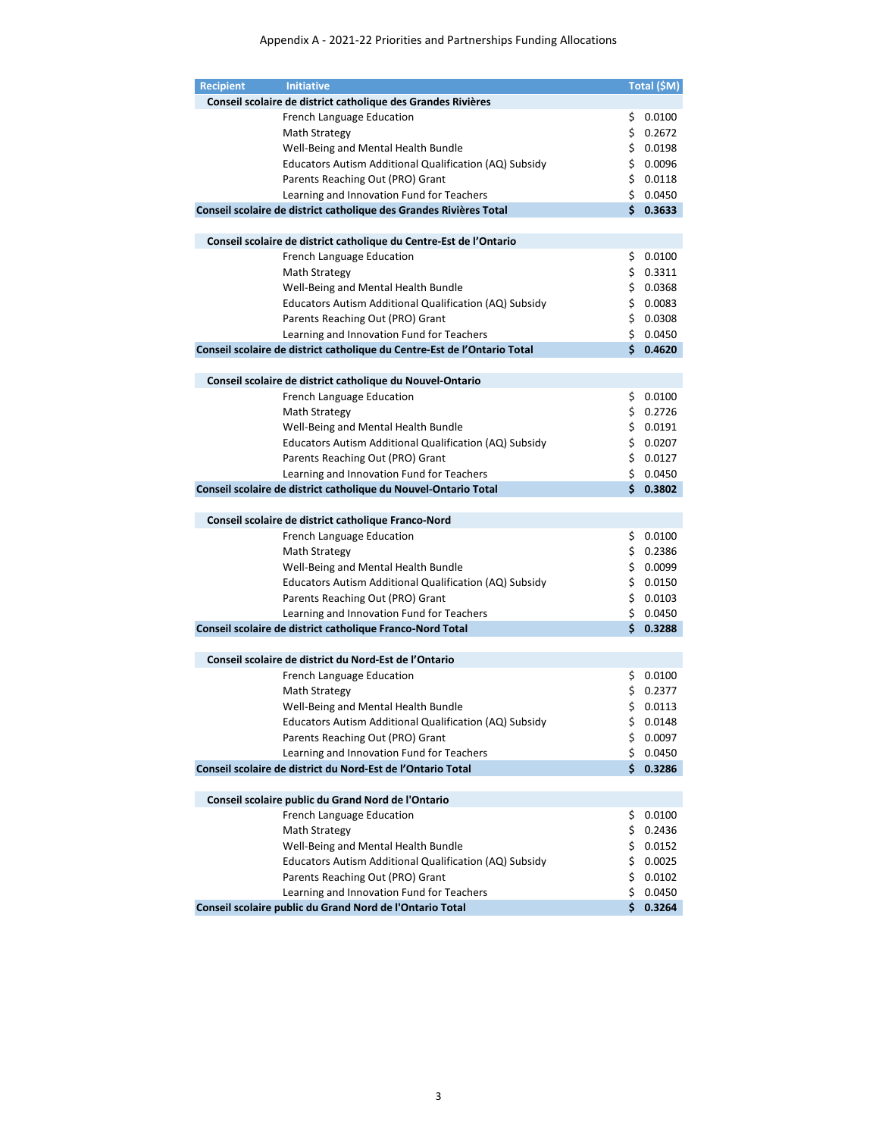| <b>Recipient</b> | <b>Initiative</b>                                                        |     | Total (\$M) |
|------------------|--------------------------------------------------------------------------|-----|-------------|
|                  | Conseil scolaire de district catholique des Grandes Rivières             |     |             |
|                  | French Language Education                                                | \$  | 0.0100      |
|                  | Math Strategy                                                            |     | \$0.2672    |
|                  | Well-Being and Mental Health Bundle                                      | \$. | 0.0198      |
|                  | Educators Autism Additional Qualification (AQ) Subsidy                   |     | \$0.0096    |
|                  | Parents Reaching Out (PRO) Grant                                         |     | \$0.0118    |
|                  | Learning and Innovation Fund for Teachers                                |     | \$0.0450    |
|                  | Conseil scolaire de district catholique des Grandes Rivières Total       | Ś.  | 0.3633      |
|                  | Conseil scolaire de district catholique du Centre-Est de l'Ontario       |     |             |
|                  | French Language Education                                                |     | \$0.0100    |
|                  | Math Strategy                                                            |     | \$0.3311    |
|                  | Well-Being and Mental Health Bundle                                      |     | \$0.0368    |
|                  | Educators Autism Additional Qualification (AQ) Subsidy                   |     | \$0.0083    |
|                  | Parents Reaching Out (PRO) Grant                                         |     | \$0.0308    |
|                  | Learning and Innovation Fund for Teachers                                |     | \$0.0450    |
|                  | Conseil scolaire de district catholique du Centre-Est de l'Ontario Total | Ś.  | 0.4620      |
|                  | Conseil scolaire de district catholique du Nouvel-Ontario                |     |             |
|                  | <b>French Language Education</b>                                         |     | \$0.0100    |
|                  | Math Strategy                                                            |     | \$0.2726    |
|                  | Well-Being and Mental Health Bundle                                      |     | \$0.0191    |
|                  | Educators Autism Additional Qualification (AQ) Subsidy                   |     | \$0.0207    |
|                  | Parents Reaching Out (PRO) Grant                                         |     | \$0.0127    |
|                  | Learning and Innovation Fund for Teachers                                |     | \$0.0450    |
|                  | Conseil scolaire de district catholique du Nouvel-Ontario Total          | Ś.  | 0.3802      |
|                  | Conseil scolaire de district catholique Franco-Nord                      |     |             |
|                  | French Language Education                                                | \$  | 0.0100      |
|                  | Math Strategy                                                            |     | \$0.2386    |
|                  | Well-Being and Mental Health Bundle                                      |     | \$0.0099    |
|                  | Educators Autism Additional Qualification (AQ) Subsidy                   |     | \$0.0150    |
|                  | Parents Reaching Out (PRO) Grant                                         |     | \$0.0103    |
|                  | Learning and Innovation Fund for Teachers                                | \$  | 0.0450      |
|                  | Conseil scolaire de district catholique Franco-Nord Total                | Ś.  | 0.3288      |
|                  | Conseil scolaire de district du Nord-Est de l'Ontario                    |     |             |
|                  | French Language Education                                                |     | \$0.0100    |
|                  | Math Strategy                                                            |     | \$0.2377    |
|                  | Well-Being and Mental Health Bundle                                      | \$. | 0.0113      |
|                  | Educators Autism Additional Qualification (AQ) Subsidy                   |     | \$0.0148    |
|                  | Parents Reaching Out (PRO) Grant                                         | \$. | 0.0097      |
|                  | Learning and Innovation Fund for Teachers                                | \$. | 0.0450      |
|                  | Conseil scolaire de district du Nord-Est de l'Ontario Total              | Ś.  | 0.3286      |
|                  | Conseil scolaire public du Grand Nord de l'Ontario                       |     |             |
|                  | French Language Education                                                | \$. | 0.0100      |
|                  | Math Strategy                                                            | \$. | 0.2436      |
|                  | Well-Being and Mental Health Bundle                                      | \$. | 0.0152      |
|                  | Educators Autism Additional Qualification (AQ) Subsidy                   |     | \$0.0025    |
|                  | Parents Reaching Out (PRO) Grant                                         | \$. | 0.0102      |
|                  | Learning and Innovation Fund for Teachers                                | \$. | 0.0450      |
|                  | Conseil scolaire public du Grand Nord de l'Ontario Total                 | Ś.  | 0.3264      |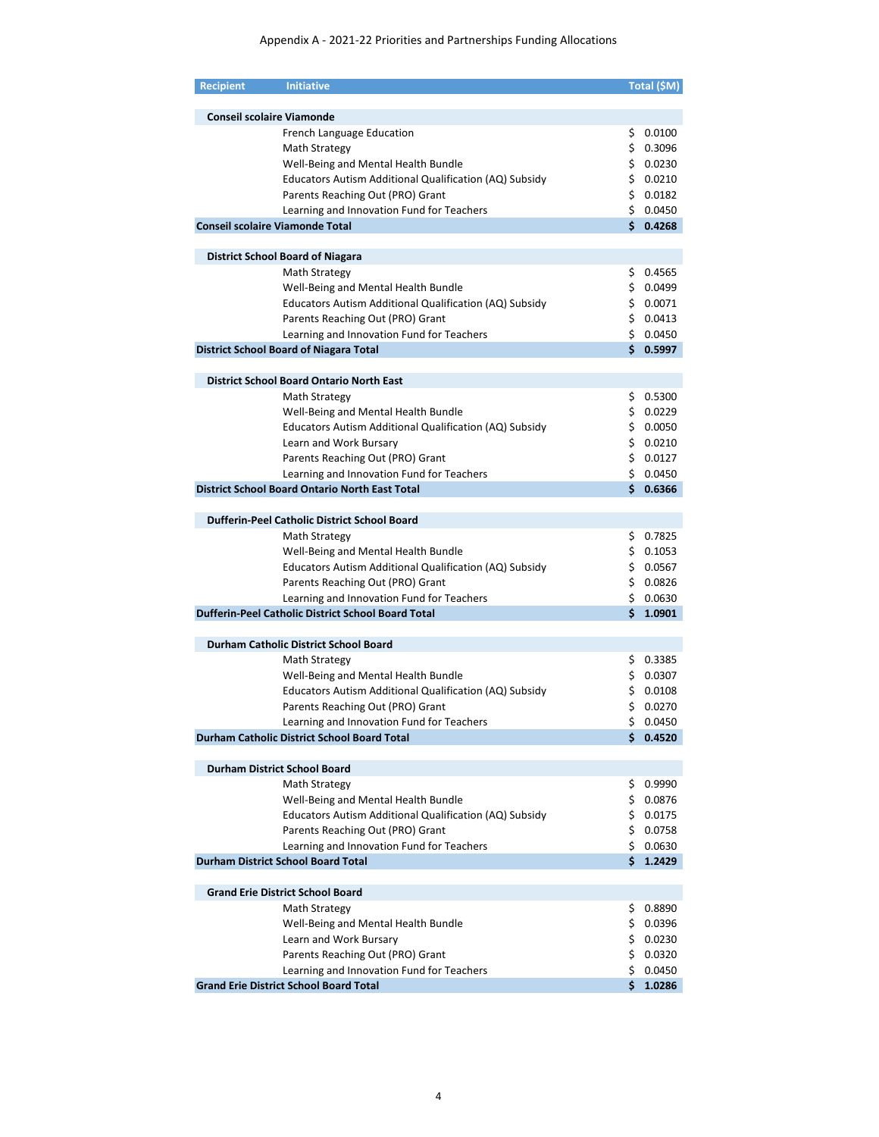| <b>Recipient</b> | <b>Initiative</b>                                                                               |     | Total (\$M)          |
|------------------|-------------------------------------------------------------------------------------------------|-----|----------------------|
|                  |                                                                                                 |     |                      |
|                  | <b>Conseil scolaire Viamonde</b>                                                                |     |                      |
|                  | French Language Education                                                                       | \$  | 0.0100               |
|                  | Math Strategy                                                                                   | \$. | 0.3096               |
|                  | Well-Being and Mental Health Bundle                                                             |     | \$0.0230             |
|                  | Educators Autism Additional Qualification (AQ) Subsidy                                          | Ś.  | 0.0210               |
|                  | Parents Reaching Out (PRO) Grant                                                                | \$. | 0.0182               |
|                  | Learning and Innovation Fund for Teachers                                                       |     | \$0.0450             |
|                  | <b>Conseil scolaire Viamonde Total</b>                                                          |     | \$0.4268             |
|                  | <b>District School Board of Niagara</b>                                                         |     |                      |
|                  | Math Strategy                                                                                   | Ş.  | 0.4565               |
|                  | Well-Being and Mental Health Bundle                                                             |     | \$0.0499             |
|                  |                                                                                                 |     |                      |
|                  | Educators Autism Additional Qualification (AQ) Subsidy                                          |     | \$0.0071             |
|                  | Parents Reaching Out (PRO) Grant                                                                |     | \$0.0413             |
|                  | Learning and Innovation Fund for Teachers                                                       |     | \$0.0450             |
|                  | <b>District School Board of Niagara Total</b>                                                   |     | \$0.5997             |
|                  | <b>District School Board Ontario North East</b>                                                 |     |                      |
|                  | Math Strategy                                                                                   | \$. | 0.5300               |
|                  | Well-Being and Mental Health Bundle                                                             | \$. | 0.0229               |
|                  | Educators Autism Additional Qualification (AQ) Subsidy                                          | \$. | 0.0050               |
|                  | Learn and Work Bursary                                                                          |     | \$0.0210             |
|                  | Parents Reaching Out (PRO) Grant                                                                |     | \$0.0127             |
|                  | Learning and Innovation Fund for Teachers                                                       |     | \$0.0450             |
|                  | <b>District School Board Ontario North East Total</b>                                           |     | \$0.6366             |
|                  | <b>Dufferin-Peel Catholic District School Board</b>                                             |     |                      |
|                  | Math Strategy                                                                                   | \$. | 0.7825               |
|                  | Well-Being and Mental Health Bundle                                                             |     | \$0.1053             |
|                  |                                                                                                 | \$. | 0.0567               |
|                  | Educators Autism Additional Qualification (AQ) Subsidy                                          |     |                      |
|                  | Parents Reaching Out (PRO) Grant                                                                | \$. | 0.0826               |
|                  | Learning and Innovation Fund for Teachers<br>Dufferin-Peel Catholic District School Board Total |     | \$0.0630<br>\$1.0901 |
|                  |                                                                                                 |     |                      |
|                  | Durham Catholic District School Board                                                           |     |                      |
|                  | Math Strategy                                                                                   |     | \$0.3385             |
|                  | Well-Being and Mental Health Bundle                                                             |     | \$0.0307             |
|                  | Educators Autism Additional Qualification (AQ) Subsidy                                          |     | \$0.0108             |
|                  | Parents Reaching Out (PRO) Grant                                                                | \$  | 0.0270               |
|                  | Learning and Innovation Fund for Teachers                                                       |     | \$0.0450             |
|                  | Durham Catholic District School Board Total                                                     | \$. | 0.4520               |
|                  | <b>Durham District School Board</b>                                                             |     |                      |
|                  | Math Strategy                                                                                   | Ş.  | 0.9990               |
|                  | Well-Being and Mental Health Bundle                                                             | \$  | 0.0876               |
|                  | Educators Autism Additional Qualification (AQ) Subsidy                                          | \$  | 0.0175               |
|                  | Parents Reaching Out (PRO) Grant                                                                | \$  | 0.0758               |
|                  | Learning and Innovation Fund for Teachers                                                       | \$  | 0.0630               |
|                  | <b>Durham District School Board Total</b>                                                       | \$. | 1.2429               |
|                  |                                                                                                 |     |                      |
|                  | <b>Grand Erie District School Board</b>                                                         |     |                      |
|                  | Math Strategy                                                                                   | \$  | 0.8890               |
|                  | Well-Being and Mental Health Bundle                                                             | \$  | 0.0396               |
|                  | Learn and Work Bursary                                                                          | \$  | 0.0230               |
|                  | Parents Reaching Out (PRO) Grant                                                                | \$  | 0.0320               |
|                  | Learning and Innovation Fund for Teachers                                                       | \$  | 0.0450               |
|                  | <b>Grand Erie District School Board Total</b>                                                   | Ś.  | 1.0286               |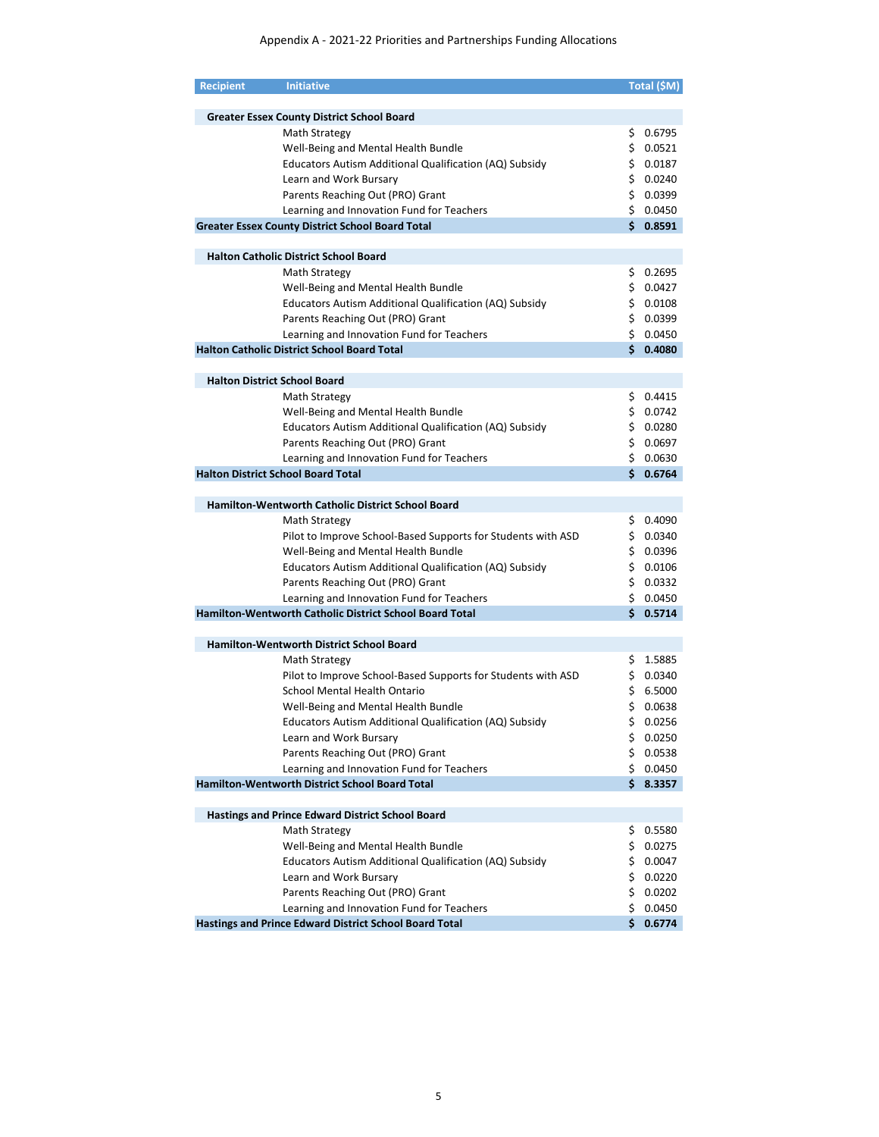| <b>Recipient</b> | <b>Initiative</b>                                            |     | Total (\$M) |
|------------------|--------------------------------------------------------------|-----|-------------|
|                  |                                                              |     |             |
|                  | <b>Greater Essex County District School Board</b>            |     |             |
|                  | Math Strategy                                                | \$. | 0.6795      |
|                  | Well-Being and Mental Health Bundle                          | \$. | 0.0521      |
|                  | Educators Autism Additional Qualification (AQ) Subsidy       |     | \$0.0187    |
|                  | Learn and Work Bursary                                       |     | \$0.0240    |
|                  | Parents Reaching Out (PRO) Grant                             |     | \$0.0399    |
|                  | Learning and Innovation Fund for Teachers                    |     | \$0.0450    |
|                  | <b>Greater Essex County District School Board Total</b>      |     | \$0.8591    |
|                  |                                                              |     |             |
|                  | <b>Halton Catholic District School Board</b>                 |     |             |
|                  | Math Strategy                                                | Ş.  | 0.2695      |
|                  | Well-Being and Mental Health Bundle                          |     | \$ 0.0427   |
|                  | Educators Autism Additional Qualification (AQ) Subsidy       |     | \$0.0108    |
|                  | Parents Reaching Out (PRO) Grant                             |     | \$0.0399    |
|                  | Learning and Innovation Fund for Teachers                    |     | \$0.0450    |
|                  | <b>Halton Catholic District School Board Total</b>           |     | \$0.4080    |
|                  |                                                              |     |             |
|                  | <b>Halton District School Board</b>                          |     |             |
|                  | Math Strategy                                                |     | 0.4415      |
|                  | Well-Being and Mental Health Bundle                          | \$. | \$0.0742    |
|                  |                                                              |     |             |
|                  | Educators Autism Additional Qualification (AQ) Subsidy       |     | \$0.0280    |
|                  | Parents Reaching Out (PRO) Grant                             |     | \$0.0697    |
|                  | Learning and Innovation Fund for Teachers                    |     | \$0.0630    |
|                  | <b>Halton District School Board Total</b>                    |     | \$0.6764    |
|                  |                                                              |     |             |
|                  | Hamilton-Wentworth Catholic District School Board            |     |             |
|                  | Math Strategy                                                | \$. | 0.4090      |
|                  | Pilot to Improve School-Based Supports for Students with ASD |     | \$0.0340    |
|                  | Well-Being and Mental Health Bundle                          |     | \$0.0396    |
|                  | Educators Autism Additional Qualification (AQ) Subsidy       |     | \$0.0106    |
|                  | Parents Reaching Out (PRO) Grant                             |     | \$0.0332    |
|                  | Learning and Innovation Fund for Teachers                    |     | \$0.0450    |
|                  | Hamilton-Wentworth Catholic District School Board Total      |     | \$0.5714    |
|                  |                                                              |     |             |
|                  | <b>Hamilton-Wentworth District School Board</b>              |     |             |
|                  | Math Strategy                                                |     | \$1.5885    |
|                  | Pilot to Improve School-Based Supports for Students with ASD |     | \$0.0340    |
|                  | School Mental Health Ontario                                 |     | \$6.5000    |
|                  | Well-Being and Mental Health Bundle                          | \$  | 0.0638      |
|                  | Educators Autism Additional Qualification (AQ) Subsidy       |     | \$0.0256    |
|                  | Learn and Work Bursary                                       | \$  | 0.0250      |
|                  | Parents Reaching Out (PRO) Grant                             | \$  | 0.0538      |
|                  | Learning and Innovation Fund for Teachers                    | \$. | 0.0450      |
|                  | <b>Hamilton-Wentworth District School Board Total</b>        |     | \$8.3357    |
|                  |                                                              |     |             |
|                  | <b>Hastings and Prince Edward District School Board</b>      |     |             |
|                  | Math Strategy                                                | \$  | 0.5580      |
|                  |                                                              |     |             |
|                  | Well-Being and Mental Health Bundle                          | \$  | 0.0275      |
|                  | Educators Autism Additional Qualification (AQ) Subsidy       | \$  | 0.0047      |
|                  | Learn and Work Bursary                                       | \$  | 0.0220      |
|                  | Parents Reaching Out (PRO) Grant                             | \$  | 0.0202      |
|                  | Learning and Innovation Fund for Teachers                    | \$  | 0.0450      |
|                  | Hastings and Prince Edward District School Board Total       | Ś.  | 0.6774      |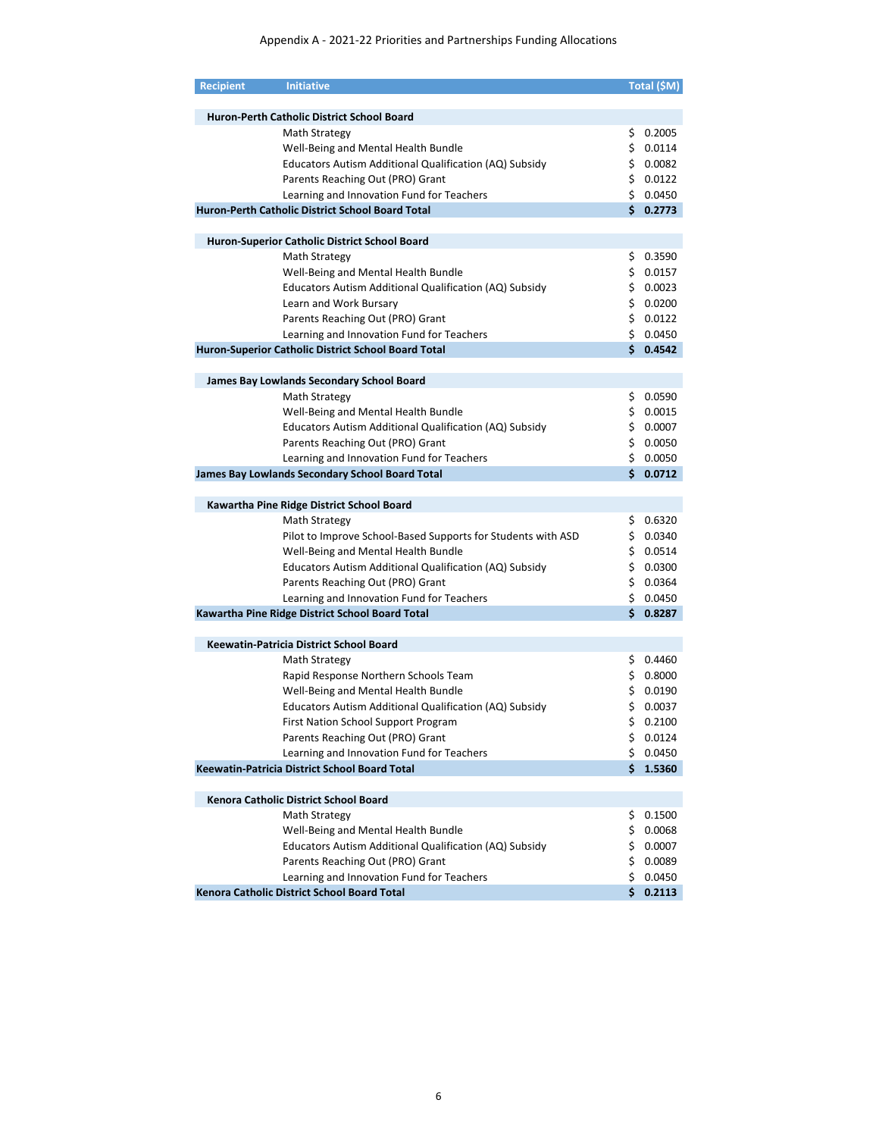| <b>Recipient</b> | <b>Initiative</b>                                            |     | Total (\$M) |
|------------------|--------------------------------------------------------------|-----|-------------|
|                  |                                                              |     |             |
|                  | <b>Huron-Perth Catholic District School Board</b>            |     |             |
|                  | Math Strategy                                                | \$  | 0.2005      |
|                  | Well-Being and Mental Health Bundle                          |     | \$0.0114    |
|                  | Educators Autism Additional Qualification (AQ) Subsidy       |     | \$0.0082    |
|                  | Parents Reaching Out (PRO) Grant                             |     | \$0.0122    |
|                  | Learning and Innovation Fund for Teachers                    |     | \$0.0450    |
|                  |                                                              |     | \$0.2773    |
|                  | Huron-Perth Catholic District School Board Total             |     |             |
|                  |                                                              |     |             |
|                  | Huron-Superior Catholic District School Board                |     |             |
|                  | Math Strategy                                                |     | \$0.3590    |
|                  | Well-Being and Mental Health Bundle                          |     | \$0.0157    |
|                  | Educators Autism Additional Qualification (AQ) Subsidy       |     | \$0.0023    |
|                  | Learn and Work Bursary                                       |     | \$0.0200    |
|                  | Parents Reaching Out (PRO) Grant                             |     | \$0.0122    |
|                  | Learning and Innovation Fund for Teachers                    |     | \$0.0450    |
|                  | Huron-Superior Catholic District School Board Total          |     | \$0.4542    |
|                  |                                                              |     |             |
|                  | James Bay Lowlands Secondary School Board                    |     |             |
|                  | Math Strategy                                                |     | \$0.0590    |
|                  | Well-Being and Mental Health Bundle                          |     | \$0.0015    |
|                  | Educators Autism Additional Qualification (AQ) Subsidy       |     | \$0.0007    |
|                  | Parents Reaching Out (PRO) Grant                             |     | \$0.0050    |
|                  |                                                              |     | \$0.0050    |
|                  | Learning and Innovation Fund for Teachers                    |     |             |
|                  | James Bay Lowlands Secondary School Board Total              |     | \$0.0712    |
|                  |                                                              |     |             |
|                  | Kawartha Pine Ridge District School Board                    |     |             |
|                  | Math Strategy                                                |     | \$0.6320    |
|                  | Pilot to Improve School-Based Supports for Students with ASD |     | \$0.0340    |
|                  | Well-Being and Mental Health Bundle                          |     | \$0.0514    |
|                  | Educators Autism Additional Qualification (AQ) Subsidy       |     | \$0.0300    |
|                  | Parents Reaching Out (PRO) Grant                             |     | \$0.0364    |
|                  | Learning and Innovation Fund for Teachers                    |     | \$0.0450    |
|                  | Kawartha Pine Ridge District School Board Total              |     | \$0.8287    |
|                  |                                                              |     |             |
|                  | Keewatin-Patricia District School Board                      |     |             |
|                  | Math Strategy                                                |     | \$0.4460    |
|                  | Rapid Response Northern Schools Team                         |     | \$0.8000    |
|                  | Well-Being and Mental Health Bundle                          |     | \$0.0190    |
|                  | Educators Autism Additional Qualification (AQ) Subsidy       |     | \$0.0037    |
|                  | First Nation School Support Program                          |     | \$0.2100    |
|                  | Parents Reaching Out (PRO) Grant                             | \$  | 0.0124      |
|                  | Learning and Innovation Fund for Teachers                    | \$  | 0.0450      |
|                  | Keewatin-Patricia District School Board Total                | Ś.  | 1.5360      |
|                  |                                                              |     |             |
|                  | Kenora Catholic District School Board                        |     |             |
|                  |                                                              |     |             |
|                  | Math Strategy                                                | Ş   | 0.1500      |
|                  | Well-Being and Mental Health Bundle                          | \$  | 0.0068      |
|                  | Educators Autism Additional Qualification (AQ) Subsidy       | \$. | 0.0007      |
|                  | Parents Reaching Out (PRO) Grant                             |     | \$0.0089    |
|                  | Learning and Innovation Fund for Teachers                    | \$  | 0.0450      |
|                  | Kenora Catholic District School Board Total                  | Ś.  | 0.2113      |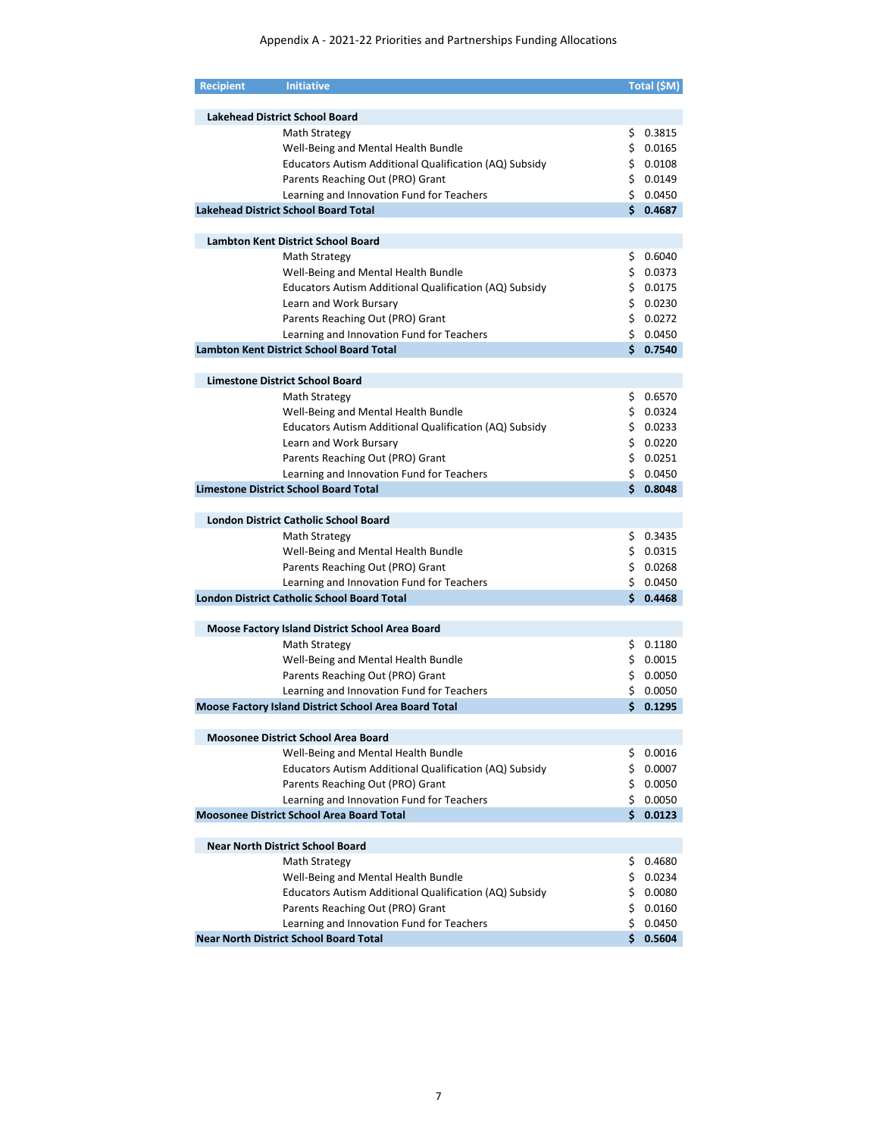| <b>Recipient</b> | <b>Initiative</b>                                      |    | Total (\$M) |
|------------------|--------------------------------------------------------|----|-------------|
|                  |                                                        |    |             |
|                  | <b>Lakehead District School Board</b>                  |    |             |
|                  | Math Strategy                                          |    | \$0.3815    |
|                  | Well-Being and Mental Health Bundle                    |    | \$0.0165    |
|                  | Educators Autism Additional Qualification (AQ) Subsidy |    | \$0.0108    |
|                  | Parents Reaching Out (PRO) Grant                       |    | \$0.0149    |
|                  | Learning and Innovation Fund for Teachers              |    | \$0.0450    |
|                  | <b>Lakehead District School Board Total</b>            |    | \$0.4687    |
|                  |                                                        |    |             |
|                  | <b>Lambton Kent District School Board</b>              |    |             |
|                  | Math Strategy                                          |    | \$0.6040    |
|                  | Well-Being and Mental Health Bundle                    |    | \$0.0373    |
|                  | Educators Autism Additional Qualification (AQ) Subsidy |    | \$0.0175    |
|                  | Learn and Work Bursary                                 |    | \$0.0230    |
|                  | Parents Reaching Out (PRO) Grant                       |    | \$0.0272    |
|                  | Learning and Innovation Fund for Teachers              |    | \$0.0450    |
|                  | <b>Lambton Kent District School Board Total</b>        |    | \$0.7540    |
|                  |                                                        |    |             |
|                  | <b>Limestone District School Board</b>                 |    |             |
|                  | Math Strategy                                          |    | \$0.6570    |
|                  | Well-Being and Mental Health Bundle                    |    | \$0.0324    |
|                  | Educators Autism Additional Qualification (AQ) Subsidy |    | 50.0233     |
|                  | Learn and Work Bursary                                 |    | \$0.0220    |
|                  | Parents Reaching Out (PRO) Grant                       |    | \$0.0251    |
|                  | Learning and Innovation Fund for Teachers              |    | \$0.0450    |
|                  | <b>Limestone District School Board Total</b>           |    | \$0.8048    |
|                  |                                                        |    |             |
|                  | <b>London District Catholic School Board</b>           |    |             |
|                  | Math Strategy                                          |    | \$0.3435    |
|                  | Well-Being and Mental Health Bundle                    |    | \$0.0315    |
|                  | Parents Reaching Out (PRO) Grant                       |    | \$0.0268    |
|                  | Learning and Innovation Fund for Teachers              |    | \$0.0450    |
|                  | <b>London District Catholic School Board Total</b>     |    | \$0.4468    |
|                  |                                                        |    |             |
|                  | <b>Moose Factory Island District School Area Board</b> |    |             |
|                  | Math Strategy                                          |    | \$0.1180    |
|                  | Well-Being and Mental Health Bundle                    |    | \$0.0015    |
|                  | Parents Reaching Out (PRO) Grant                       |    | \$0.0050    |
|                  | Learning and Innovation Fund for Teachers              |    | \$0.0050    |
|                  | Moose Factory Island District School Area Board Total  |    | \$0.1295    |
|                  |                                                        |    |             |
|                  | Moosonee District School Area Board                    |    |             |
|                  | Well-Being and Mental Health Bundle                    |    | \$0.0016    |
|                  | Educators Autism Additional Qualification (AQ) Subsidy |    | \$0.0007    |
|                  | Parents Reaching Out (PRO) Grant                       |    | \$0.0050    |
|                  | Learning and Innovation Fund for Teachers              |    | \$0.0050    |
|                  | <b>Moosonee District School Area Board Total</b>       | Ś. | 0.0123      |
|                  |                                                        |    |             |
|                  | <b>Near North District School Board</b>                |    |             |
|                  | Math Strategy                                          |    | \$0.4680    |
|                  | Well-Being and Mental Health Bundle                    |    | \$0.0234    |
|                  | Educators Autism Additional Qualification (AQ) Subsidy |    | \$0.0080    |
|                  | Parents Reaching Out (PRO) Grant                       |    | \$0.0160    |
|                  | Learning and Innovation Fund for Teachers              |    | \$0.0450    |
|                  | <b>Near North District School Board Total</b>          |    | \$0.5604    |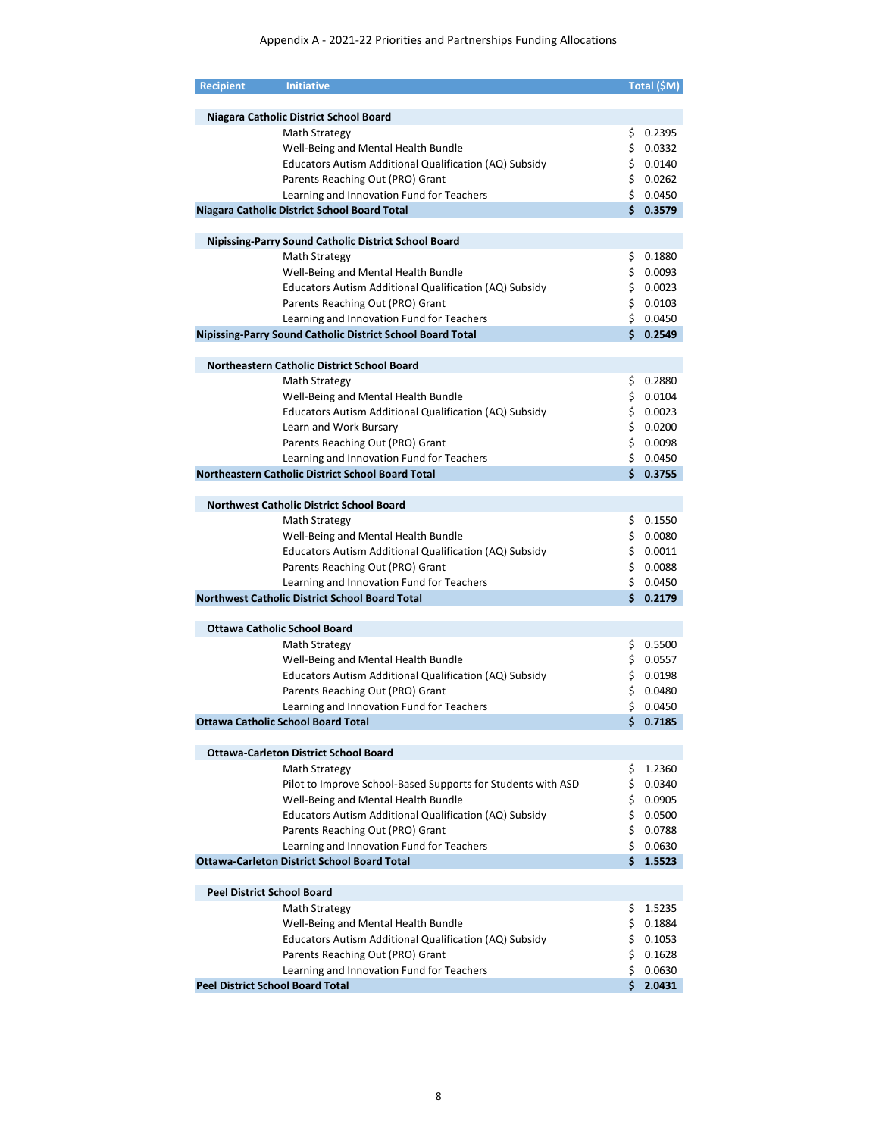| Niagara Catholic District School Board<br>Math Strategy<br>\$.<br>\$0.0332<br>Well-Being and Mental Health Bundle<br>\$0.0140<br>Educators Autism Additional Qualification (AQ) Subsidy<br>\$0.0262<br>Parents Reaching Out (PRO) Grant<br>\$0.0450<br>Learning and Innovation Fund for Teachers<br>\$0.3579<br>Niagara Catholic District School Board Total<br><b>Nipissing-Parry Sound Catholic District School Board</b><br>Math Strategy<br>\$<br>\$0.0093<br>Well-Being and Mental Health Bundle<br>Educators Autism Additional Qualification (AQ) Subsidy<br>\$0.0023<br>\$0.0103<br>Parents Reaching Out (PRO) Grant<br>\$0.0450<br>Learning and Innovation Fund for Teachers<br>\$0.2549<br>Nipissing-Parry Sound Catholic District School Board Total<br>Northeastern Catholic District School Board<br>\$0.2880<br>Math Strategy<br>\$0.0104<br>Well-Being and Mental Health Bundle<br>\$0.0023<br>Educators Autism Additional Qualification (AQ) Subsidy<br>\$0.0200<br>Learn and Work Bursary<br>Parents Reaching Out (PRO) Grant<br>\$0.0098<br>\$0.0450<br>Learning and Innovation Fund for Teachers<br>Northeastern Catholic District School Board Total<br>\$0.3755<br><b>Northwest Catholic District School Board</b><br>Math Strategy<br>\$0.1550<br>\$0.0080<br>Well-Being and Mental Health Bundle<br>\$0.0011<br>Educators Autism Additional Qualification (AQ) Subsidy<br>\$0.0088<br>Parents Reaching Out (PRO) Grant<br>Learning and Innovation Fund for Teachers<br>\$0.0450<br><b>Northwest Catholic District School Board Total</b><br>Ś.<br><b>Ottawa Catholic School Board</b><br>\$0.5500<br>Math Strategy<br>Well-Being and Mental Health Bundle<br>\$0.0557<br>Educators Autism Additional Qualification (AQ) Subsidy<br>\$0.0198<br>Parents Reaching Out (PRO) Grant<br>\$0.0480<br>\$0.0450<br>Learning and Innovation Fund for Teachers<br>\$0.7185<br>Ottawa Catholic School Board Total<br><b>Ottawa-Carleton District School Board</b><br>1.2360<br>Math Strategy<br>\$.<br>\$0.0340<br>Pilot to Improve School-Based Supports for Students with ASD<br>\$0.0905<br>Well-Being and Mental Health Bundle<br><b>Educators Autism Additional Qualification (AQ) Subsidy</b><br>\$0.0500<br>Parents Reaching Out (PRO) Grant<br>\$0.0788<br>\$0.0630<br>Learning and Innovation Fund for Teachers<br><b>Ottawa-Carleton District School Board Total</b><br>\$1.5523<br><b>Peel District School Board</b><br>1.5235<br>Math Strategy<br>\$.<br>\$0.1884<br>Well-Being and Mental Health Bundle<br>\$0.1053<br>Educators Autism Additional Qualification (AQ) Subsidy<br>\$0.1628<br>Parents Reaching Out (PRO) Grant<br>Learning and Innovation Fund for Teachers<br>\$<br>0.0630<br><b>Peel District School Board Total</b><br>Ś. | <b>Recipient</b> | <b>Initiative</b> | Total (\$M) |
|---------------------------------------------------------------------------------------------------------------------------------------------------------------------------------------------------------------------------------------------------------------------------------------------------------------------------------------------------------------------------------------------------------------------------------------------------------------------------------------------------------------------------------------------------------------------------------------------------------------------------------------------------------------------------------------------------------------------------------------------------------------------------------------------------------------------------------------------------------------------------------------------------------------------------------------------------------------------------------------------------------------------------------------------------------------------------------------------------------------------------------------------------------------------------------------------------------------------------------------------------------------------------------------------------------------------------------------------------------------------------------------------------------------------------------------------------------------------------------------------------------------------------------------------------------------------------------------------------------------------------------------------------------------------------------------------------------------------------------------------------------------------------------------------------------------------------------------------------------------------------------------------------------------------------------------------------------------------------------------------------------------------------------------------------------------------------------------------------------------------------------------------------------------------------------------------------------------------------------------------------------------------------------------------------------------------------------------------------------------------------------------------------------------------------------------------------------------------------------------------------------------------------------------------------------------------------------------------------------------------------------------------------------------------------------------------------------------------------------------------------------------------|------------------|-------------------|-------------|
|                                                                                                                                                                                                                                                                                                                                                                                                                                                                                                                                                                                                                                                                                                                                                                                                                                                                                                                                                                                                                                                                                                                                                                                                                                                                                                                                                                                                                                                                                                                                                                                                                                                                                                                                                                                                                                                                                                                                                                                                                                                                                                                                                                                                                                                                                                                                                                                                                                                                                                                                                                                                                                                                                                                                                                     |                  |                   |             |
|                                                                                                                                                                                                                                                                                                                                                                                                                                                                                                                                                                                                                                                                                                                                                                                                                                                                                                                                                                                                                                                                                                                                                                                                                                                                                                                                                                                                                                                                                                                                                                                                                                                                                                                                                                                                                                                                                                                                                                                                                                                                                                                                                                                                                                                                                                                                                                                                                                                                                                                                                                                                                                                                                                                                                                     |                  |                   |             |
|                                                                                                                                                                                                                                                                                                                                                                                                                                                                                                                                                                                                                                                                                                                                                                                                                                                                                                                                                                                                                                                                                                                                                                                                                                                                                                                                                                                                                                                                                                                                                                                                                                                                                                                                                                                                                                                                                                                                                                                                                                                                                                                                                                                                                                                                                                                                                                                                                                                                                                                                                                                                                                                                                                                                                                     |                  |                   | 0.2395      |
|                                                                                                                                                                                                                                                                                                                                                                                                                                                                                                                                                                                                                                                                                                                                                                                                                                                                                                                                                                                                                                                                                                                                                                                                                                                                                                                                                                                                                                                                                                                                                                                                                                                                                                                                                                                                                                                                                                                                                                                                                                                                                                                                                                                                                                                                                                                                                                                                                                                                                                                                                                                                                                                                                                                                                                     |                  |                   |             |
|                                                                                                                                                                                                                                                                                                                                                                                                                                                                                                                                                                                                                                                                                                                                                                                                                                                                                                                                                                                                                                                                                                                                                                                                                                                                                                                                                                                                                                                                                                                                                                                                                                                                                                                                                                                                                                                                                                                                                                                                                                                                                                                                                                                                                                                                                                                                                                                                                                                                                                                                                                                                                                                                                                                                                                     |                  |                   |             |
|                                                                                                                                                                                                                                                                                                                                                                                                                                                                                                                                                                                                                                                                                                                                                                                                                                                                                                                                                                                                                                                                                                                                                                                                                                                                                                                                                                                                                                                                                                                                                                                                                                                                                                                                                                                                                                                                                                                                                                                                                                                                                                                                                                                                                                                                                                                                                                                                                                                                                                                                                                                                                                                                                                                                                                     |                  |                   |             |
|                                                                                                                                                                                                                                                                                                                                                                                                                                                                                                                                                                                                                                                                                                                                                                                                                                                                                                                                                                                                                                                                                                                                                                                                                                                                                                                                                                                                                                                                                                                                                                                                                                                                                                                                                                                                                                                                                                                                                                                                                                                                                                                                                                                                                                                                                                                                                                                                                                                                                                                                                                                                                                                                                                                                                                     |                  |                   |             |
|                                                                                                                                                                                                                                                                                                                                                                                                                                                                                                                                                                                                                                                                                                                                                                                                                                                                                                                                                                                                                                                                                                                                                                                                                                                                                                                                                                                                                                                                                                                                                                                                                                                                                                                                                                                                                                                                                                                                                                                                                                                                                                                                                                                                                                                                                                                                                                                                                                                                                                                                                                                                                                                                                                                                                                     |                  |                   |             |
|                                                                                                                                                                                                                                                                                                                                                                                                                                                                                                                                                                                                                                                                                                                                                                                                                                                                                                                                                                                                                                                                                                                                                                                                                                                                                                                                                                                                                                                                                                                                                                                                                                                                                                                                                                                                                                                                                                                                                                                                                                                                                                                                                                                                                                                                                                                                                                                                                                                                                                                                                                                                                                                                                                                                                                     |                  |                   |             |
|                                                                                                                                                                                                                                                                                                                                                                                                                                                                                                                                                                                                                                                                                                                                                                                                                                                                                                                                                                                                                                                                                                                                                                                                                                                                                                                                                                                                                                                                                                                                                                                                                                                                                                                                                                                                                                                                                                                                                                                                                                                                                                                                                                                                                                                                                                                                                                                                                                                                                                                                                                                                                                                                                                                                                                     |                  |                   |             |
|                                                                                                                                                                                                                                                                                                                                                                                                                                                                                                                                                                                                                                                                                                                                                                                                                                                                                                                                                                                                                                                                                                                                                                                                                                                                                                                                                                                                                                                                                                                                                                                                                                                                                                                                                                                                                                                                                                                                                                                                                                                                                                                                                                                                                                                                                                                                                                                                                                                                                                                                                                                                                                                                                                                                                                     |                  |                   | 0.1880      |
|                                                                                                                                                                                                                                                                                                                                                                                                                                                                                                                                                                                                                                                                                                                                                                                                                                                                                                                                                                                                                                                                                                                                                                                                                                                                                                                                                                                                                                                                                                                                                                                                                                                                                                                                                                                                                                                                                                                                                                                                                                                                                                                                                                                                                                                                                                                                                                                                                                                                                                                                                                                                                                                                                                                                                                     |                  |                   |             |
|                                                                                                                                                                                                                                                                                                                                                                                                                                                                                                                                                                                                                                                                                                                                                                                                                                                                                                                                                                                                                                                                                                                                                                                                                                                                                                                                                                                                                                                                                                                                                                                                                                                                                                                                                                                                                                                                                                                                                                                                                                                                                                                                                                                                                                                                                                                                                                                                                                                                                                                                                                                                                                                                                                                                                                     |                  |                   |             |
|                                                                                                                                                                                                                                                                                                                                                                                                                                                                                                                                                                                                                                                                                                                                                                                                                                                                                                                                                                                                                                                                                                                                                                                                                                                                                                                                                                                                                                                                                                                                                                                                                                                                                                                                                                                                                                                                                                                                                                                                                                                                                                                                                                                                                                                                                                                                                                                                                                                                                                                                                                                                                                                                                                                                                                     |                  |                   |             |
|                                                                                                                                                                                                                                                                                                                                                                                                                                                                                                                                                                                                                                                                                                                                                                                                                                                                                                                                                                                                                                                                                                                                                                                                                                                                                                                                                                                                                                                                                                                                                                                                                                                                                                                                                                                                                                                                                                                                                                                                                                                                                                                                                                                                                                                                                                                                                                                                                                                                                                                                                                                                                                                                                                                                                                     |                  |                   |             |
|                                                                                                                                                                                                                                                                                                                                                                                                                                                                                                                                                                                                                                                                                                                                                                                                                                                                                                                                                                                                                                                                                                                                                                                                                                                                                                                                                                                                                                                                                                                                                                                                                                                                                                                                                                                                                                                                                                                                                                                                                                                                                                                                                                                                                                                                                                                                                                                                                                                                                                                                                                                                                                                                                                                                                                     |                  |                   |             |
|                                                                                                                                                                                                                                                                                                                                                                                                                                                                                                                                                                                                                                                                                                                                                                                                                                                                                                                                                                                                                                                                                                                                                                                                                                                                                                                                                                                                                                                                                                                                                                                                                                                                                                                                                                                                                                                                                                                                                                                                                                                                                                                                                                                                                                                                                                                                                                                                                                                                                                                                                                                                                                                                                                                                                                     |                  |                   |             |
|                                                                                                                                                                                                                                                                                                                                                                                                                                                                                                                                                                                                                                                                                                                                                                                                                                                                                                                                                                                                                                                                                                                                                                                                                                                                                                                                                                                                                                                                                                                                                                                                                                                                                                                                                                                                                                                                                                                                                                                                                                                                                                                                                                                                                                                                                                                                                                                                                                                                                                                                                                                                                                                                                                                                                                     |                  |                   |             |
|                                                                                                                                                                                                                                                                                                                                                                                                                                                                                                                                                                                                                                                                                                                                                                                                                                                                                                                                                                                                                                                                                                                                                                                                                                                                                                                                                                                                                                                                                                                                                                                                                                                                                                                                                                                                                                                                                                                                                                                                                                                                                                                                                                                                                                                                                                                                                                                                                                                                                                                                                                                                                                                                                                                                                                     |                  |                   |             |
|                                                                                                                                                                                                                                                                                                                                                                                                                                                                                                                                                                                                                                                                                                                                                                                                                                                                                                                                                                                                                                                                                                                                                                                                                                                                                                                                                                                                                                                                                                                                                                                                                                                                                                                                                                                                                                                                                                                                                                                                                                                                                                                                                                                                                                                                                                                                                                                                                                                                                                                                                                                                                                                                                                                                                                     |                  |                   |             |
|                                                                                                                                                                                                                                                                                                                                                                                                                                                                                                                                                                                                                                                                                                                                                                                                                                                                                                                                                                                                                                                                                                                                                                                                                                                                                                                                                                                                                                                                                                                                                                                                                                                                                                                                                                                                                                                                                                                                                                                                                                                                                                                                                                                                                                                                                                                                                                                                                                                                                                                                                                                                                                                                                                                                                                     |                  |                   |             |
|                                                                                                                                                                                                                                                                                                                                                                                                                                                                                                                                                                                                                                                                                                                                                                                                                                                                                                                                                                                                                                                                                                                                                                                                                                                                                                                                                                                                                                                                                                                                                                                                                                                                                                                                                                                                                                                                                                                                                                                                                                                                                                                                                                                                                                                                                                                                                                                                                                                                                                                                                                                                                                                                                                                                                                     |                  |                   |             |
|                                                                                                                                                                                                                                                                                                                                                                                                                                                                                                                                                                                                                                                                                                                                                                                                                                                                                                                                                                                                                                                                                                                                                                                                                                                                                                                                                                                                                                                                                                                                                                                                                                                                                                                                                                                                                                                                                                                                                                                                                                                                                                                                                                                                                                                                                                                                                                                                                                                                                                                                                                                                                                                                                                                                                                     |                  |                   |             |
|                                                                                                                                                                                                                                                                                                                                                                                                                                                                                                                                                                                                                                                                                                                                                                                                                                                                                                                                                                                                                                                                                                                                                                                                                                                                                                                                                                                                                                                                                                                                                                                                                                                                                                                                                                                                                                                                                                                                                                                                                                                                                                                                                                                                                                                                                                                                                                                                                                                                                                                                                                                                                                                                                                                                                                     |                  |                   |             |
|                                                                                                                                                                                                                                                                                                                                                                                                                                                                                                                                                                                                                                                                                                                                                                                                                                                                                                                                                                                                                                                                                                                                                                                                                                                                                                                                                                                                                                                                                                                                                                                                                                                                                                                                                                                                                                                                                                                                                                                                                                                                                                                                                                                                                                                                                                                                                                                                                                                                                                                                                                                                                                                                                                                                                                     |                  |                   |             |
|                                                                                                                                                                                                                                                                                                                                                                                                                                                                                                                                                                                                                                                                                                                                                                                                                                                                                                                                                                                                                                                                                                                                                                                                                                                                                                                                                                                                                                                                                                                                                                                                                                                                                                                                                                                                                                                                                                                                                                                                                                                                                                                                                                                                                                                                                                                                                                                                                                                                                                                                                                                                                                                                                                                                                                     |                  |                   |             |
|                                                                                                                                                                                                                                                                                                                                                                                                                                                                                                                                                                                                                                                                                                                                                                                                                                                                                                                                                                                                                                                                                                                                                                                                                                                                                                                                                                                                                                                                                                                                                                                                                                                                                                                                                                                                                                                                                                                                                                                                                                                                                                                                                                                                                                                                                                                                                                                                                                                                                                                                                                                                                                                                                                                                                                     |                  |                   |             |
|                                                                                                                                                                                                                                                                                                                                                                                                                                                                                                                                                                                                                                                                                                                                                                                                                                                                                                                                                                                                                                                                                                                                                                                                                                                                                                                                                                                                                                                                                                                                                                                                                                                                                                                                                                                                                                                                                                                                                                                                                                                                                                                                                                                                                                                                                                                                                                                                                                                                                                                                                                                                                                                                                                                                                                     |                  |                   |             |
|                                                                                                                                                                                                                                                                                                                                                                                                                                                                                                                                                                                                                                                                                                                                                                                                                                                                                                                                                                                                                                                                                                                                                                                                                                                                                                                                                                                                                                                                                                                                                                                                                                                                                                                                                                                                                                                                                                                                                                                                                                                                                                                                                                                                                                                                                                                                                                                                                                                                                                                                                                                                                                                                                                                                                                     |                  |                   |             |
|                                                                                                                                                                                                                                                                                                                                                                                                                                                                                                                                                                                                                                                                                                                                                                                                                                                                                                                                                                                                                                                                                                                                                                                                                                                                                                                                                                                                                                                                                                                                                                                                                                                                                                                                                                                                                                                                                                                                                                                                                                                                                                                                                                                                                                                                                                                                                                                                                                                                                                                                                                                                                                                                                                                                                                     |                  |                   |             |
|                                                                                                                                                                                                                                                                                                                                                                                                                                                                                                                                                                                                                                                                                                                                                                                                                                                                                                                                                                                                                                                                                                                                                                                                                                                                                                                                                                                                                                                                                                                                                                                                                                                                                                                                                                                                                                                                                                                                                                                                                                                                                                                                                                                                                                                                                                                                                                                                                                                                                                                                                                                                                                                                                                                                                                     |                  |                   |             |
|                                                                                                                                                                                                                                                                                                                                                                                                                                                                                                                                                                                                                                                                                                                                                                                                                                                                                                                                                                                                                                                                                                                                                                                                                                                                                                                                                                                                                                                                                                                                                                                                                                                                                                                                                                                                                                                                                                                                                                                                                                                                                                                                                                                                                                                                                                                                                                                                                                                                                                                                                                                                                                                                                                                                                                     |                  |                   |             |
|                                                                                                                                                                                                                                                                                                                                                                                                                                                                                                                                                                                                                                                                                                                                                                                                                                                                                                                                                                                                                                                                                                                                                                                                                                                                                                                                                                                                                                                                                                                                                                                                                                                                                                                                                                                                                                                                                                                                                                                                                                                                                                                                                                                                                                                                                                                                                                                                                                                                                                                                                                                                                                                                                                                                                                     |                  |                   | 0.2179      |
|                                                                                                                                                                                                                                                                                                                                                                                                                                                                                                                                                                                                                                                                                                                                                                                                                                                                                                                                                                                                                                                                                                                                                                                                                                                                                                                                                                                                                                                                                                                                                                                                                                                                                                                                                                                                                                                                                                                                                                                                                                                                                                                                                                                                                                                                                                                                                                                                                                                                                                                                                                                                                                                                                                                                                                     |                  |                   |             |
|                                                                                                                                                                                                                                                                                                                                                                                                                                                                                                                                                                                                                                                                                                                                                                                                                                                                                                                                                                                                                                                                                                                                                                                                                                                                                                                                                                                                                                                                                                                                                                                                                                                                                                                                                                                                                                                                                                                                                                                                                                                                                                                                                                                                                                                                                                                                                                                                                                                                                                                                                                                                                                                                                                                                                                     |                  |                   |             |
|                                                                                                                                                                                                                                                                                                                                                                                                                                                                                                                                                                                                                                                                                                                                                                                                                                                                                                                                                                                                                                                                                                                                                                                                                                                                                                                                                                                                                                                                                                                                                                                                                                                                                                                                                                                                                                                                                                                                                                                                                                                                                                                                                                                                                                                                                                                                                                                                                                                                                                                                                                                                                                                                                                                                                                     |                  |                   |             |
|                                                                                                                                                                                                                                                                                                                                                                                                                                                                                                                                                                                                                                                                                                                                                                                                                                                                                                                                                                                                                                                                                                                                                                                                                                                                                                                                                                                                                                                                                                                                                                                                                                                                                                                                                                                                                                                                                                                                                                                                                                                                                                                                                                                                                                                                                                                                                                                                                                                                                                                                                                                                                                                                                                                                                                     |                  |                   |             |
|                                                                                                                                                                                                                                                                                                                                                                                                                                                                                                                                                                                                                                                                                                                                                                                                                                                                                                                                                                                                                                                                                                                                                                                                                                                                                                                                                                                                                                                                                                                                                                                                                                                                                                                                                                                                                                                                                                                                                                                                                                                                                                                                                                                                                                                                                                                                                                                                                                                                                                                                                                                                                                                                                                                                                                     |                  |                   |             |
|                                                                                                                                                                                                                                                                                                                                                                                                                                                                                                                                                                                                                                                                                                                                                                                                                                                                                                                                                                                                                                                                                                                                                                                                                                                                                                                                                                                                                                                                                                                                                                                                                                                                                                                                                                                                                                                                                                                                                                                                                                                                                                                                                                                                                                                                                                                                                                                                                                                                                                                                                                                                                                                                                                                                                                     |                  |                   |             |
|                                                                                                                                                                                                                                                                                                                                                                                                                                                                                                                                                                                                                                                                                                                                                                                                                                                                                                                                                                                                                                                                                                                                                                                                                                                                                                                                                                                                                                                                                                                                                                                                                                                                                                                                                                                                                                                                                                                                                                                                                                                                                                                                                                                                                                                                                                                                                                                                                                                                                                                                                                                                                                                                                                                                                                     |                  |                   |             |
|                                                                                                                                                                                                                                                                                                                                                                                                                                                                                                                                                                                                                                                                                                                                                                                                                                                                                                                                                                                                                                                                                                                                                                                                                                                                                                                                                                                                                                                                                                                                                                                                                                                                                                                                                                                                                                                                                                                                                                                                                                                                                                                                                                                                                                                                                                                                                                                                                                                                                                                                                                                                                                                                                                                                                                     |                  |                   |             |
|                                                                                                                                                                                                                                                                                                                                                                                                                                                                                                                                                                                                                                                                                                                                                                                                                                                                                                                                                                                                                                                                                                                                                                                                                                                                                                                                                                                                                                                                                                                                                                                                                                                                                                                                                                                                                                                                                                                                                                                                                                                                                                                                                                                                                                                                                                                                                                                                                                                                                                                                                                                                                                                                                                                                                                     |                  |                   |             |
|                                                                                                                                                                                                                                                                                                                                                                                                                                                                                                                                                                                                                                                                                                                                                                                                                                                                                                                                                                                                                                                                                                                                                                                                                                                                                                                                                                                                                                                                                                                                                                                                                                                                                                                                                                                                                                                                                                                                                                                                                                                                                                                                                                                                                                                                                                                                                                                                                                                                                                                                                                                                                                                                                                                                                                     |                  |                   |             |
|                                                                                                                                                                                                                                                                                                                                                                                                                                                                                                                                                                                                                                                                                                                                                                                                                                                                                                                                                                                                                                                                                                                                                                                                                                                                                                                                                                                                                                                                                                                                                                                                                                                                                                                                                                                                                                                                                                                                                                                                                                                                                                                                                                                                                                                                                                                                                                                                                                                                                                                                                                                                                                                                                                                                                                     |                  |                   |             |
|                                                                                                                                                                                                                                                                                                                                                                                                                                                                                                                                                                                                                                                                                                                                                                                                                                                                                                                                                                                                                                                                                                                                                                                                                                                                                                                                                                                                                                                                                                                                                                                                                                                                                                                                                                                                                                                                                                                                                                                                                                                                                                                                                                                                                                                                                                                                                                                                                                                                                                                                                                                                                                                                                                                                                                     |                  |                   |             |
|                                                                                                                                                                                                                                                                                                                                                                                                                                                                                                                                                                                                                                                                                                                                                                                                                                                                                                                                                                                                                                                                                                                                                                                                                                                                                                                                                                                                                                                                                                                                                                                                                                                                                                                                                                                                                                                                                                                                                                                                                                                                                                                                                                                                                                                                                                                                                                                                                                                                                                                                                                                                                                                                                                                                                                     |                  |                   |             |
|                                                                                                                                                                                                                                                                                                                                                                                                                                                                                                                                                                                                                                                                                                                                                                                                                                                                                                                                                                                                                                                                                                                                                                                                                                                                                                                                                                                                                                                                                                                                                                                                                                                                                                                                                                                                                                                                                                                                                                                                                                                                                                                                                                                                                                                                                                                                                                                                                                                                                                                                                                                                                                                                                                                                                                     |                  |                   |             |
|                                                                                                                                                                                                                                                                                                                                                                                                                                                                                                                                                                                                                                                                                                                                                                                                                                                                                                                                                                                                                                                                                                                                                                                                                                                                                                                                                                                                                                                                                                                                                                                                                                                                                                                                                                                                                                                                                                                                                                                                                                                                                                                                                                                                                                                                                                                                                                                                                                                                                                                                                                                                                                                                                                                                                                     |                  |                   |             |
|                                                                                                                                                                                                                                                                                                                                                                                                                                                                                                                                                                                                                                                                                                                                                                                                                                                                                                                                                                                                                                                                                                                                                                                                                                                                                                                                                                                                                                                                                                                                                                                                                                                                                                                                                                                                                                                                                                                                                                                                                                                                                                                                                                                                                                                                                                                                                                                                                                                                                                                                                                                                                                                                                                                                                                     |                  |                   |             |
|                                                                                                                                                                                                                                                                                                                                                                                                                                                                                                                                                                                                                                                                                                                                                                                                                                                                                                                                                                                                                                                                                                                                                                                                                                                                                                                                                                                                                                                                                                                                                                                                                                                                                                                                                                                                                                                                                                                                                                                                                                                                                                                                                                                                                                                                                                                                                                                                                                                                                                                                                                                                                                                                                                                                                                     |                  |                   |             |
|                                                                                                                                                                                                                                                                                                                                                                                                                                                                                                                                                                                                                                                                                                                                                                                                                                                                                                                                                                                                                                                                                                                                                                                                                                                                                                                                                                                                                                                                                                                                                                                                                                                                                                                                                                                                                                                                                                                                                                                                                                                                                                                                                                                                                                                                                                                                                                                                                                                                                                                                                                                                                                                                                                                                                                     |                  |                   |             |
|                                                                                                                                                                                                                                                                                                                                                                                                                                                                                                                                                                                                                                                                                                                                                                                                                                                                                                                                                                                                                                                                                                                                                                                                                                                                                                                                                                                                                                                                                                                                                                                                                                                                                                                                                                                                                                                                                                                                                                                                                                                                                                                                                                                                                                                                                                                                                                                                                                                                                                                                                                                                                                                                                                                                                                     |                  |                   |             |
|                                                                                                                                                                                                                                                                                                                                                                                                                                                                                                                                                                                                                                                                                                                                                                                                                                                                                                                                                                                                                                                                                                                                                                                                                                                                                                                                                                                                                                                                                                                                                                                                                                                                                                                                                                                                                                                                                                                                                                                                                                                                                                                                                                                                                                                                                                                                                                                                                                                                                                                                                                                                                                                                                                                                                                     |                  |                   |             |
|                                                                                                                                                                                                                                                                                                                                                                                                                                                                                                                                                                                                                                                                                                                                                                                                                                                                                                                                                                                                                                                                                                                                                                                                                                                                                                                                                                                                                                                                                                                                                                                                                                                                                                                                                                                                                                                                                                                                                                                                                                                                                                                                                                                                                                                                                                                                                                                                                                                                                                                                                                                                                                                                                                                                                                     |                  |                   |             |
|                                                                                                                                                                                                                                                                                                                                                                                                                                                                                                                                                                                                                                                                                                                                                                                                                                                                                                                                                                                                                                                                                                                                                                                                                                                                                                                                                                                                                                                                                                                                                                                                                                                                                                                                                                                                                                                                                                                                                                                                                                                                                                                                                                                                                                                                                                                                                                                                                                                                                                                                                                                                                                                                                                                                                                     |                  |                   |             |
|                                                                                                                                                                                                                                                                                                                                                                                                                                                                                                                                                                                                                                                                                                                                                                                                                                                                                                                                                                                                                                                                                                                                                                                                                                                                                                                                                                                                                                                                                                                                                                                                                                                                                                                                                                                                                                                                                                                                                                                                                                                                                                                                                                                                                                                                                                                                                                                                                                                                                                                                                                                                                                                                                                                                                                     |                  |                   |             |
|                                                                                                                                                                                                                                                                                                                                                                                                                                                                                                                                                                                                                                                                                                                                                                                                                                                                                                                                                                                                                                                                                                                                                                                                                                                                                                                                                                                                                                                                                                                                                                                                                                                                                                                                                                                                                                                                                                                                                                                                                                                                                                                                                                                                                                                                                                                                                                                                                                                                                                                                                                                                                                                                                                                                                                     |                  |                   | 2.0431      |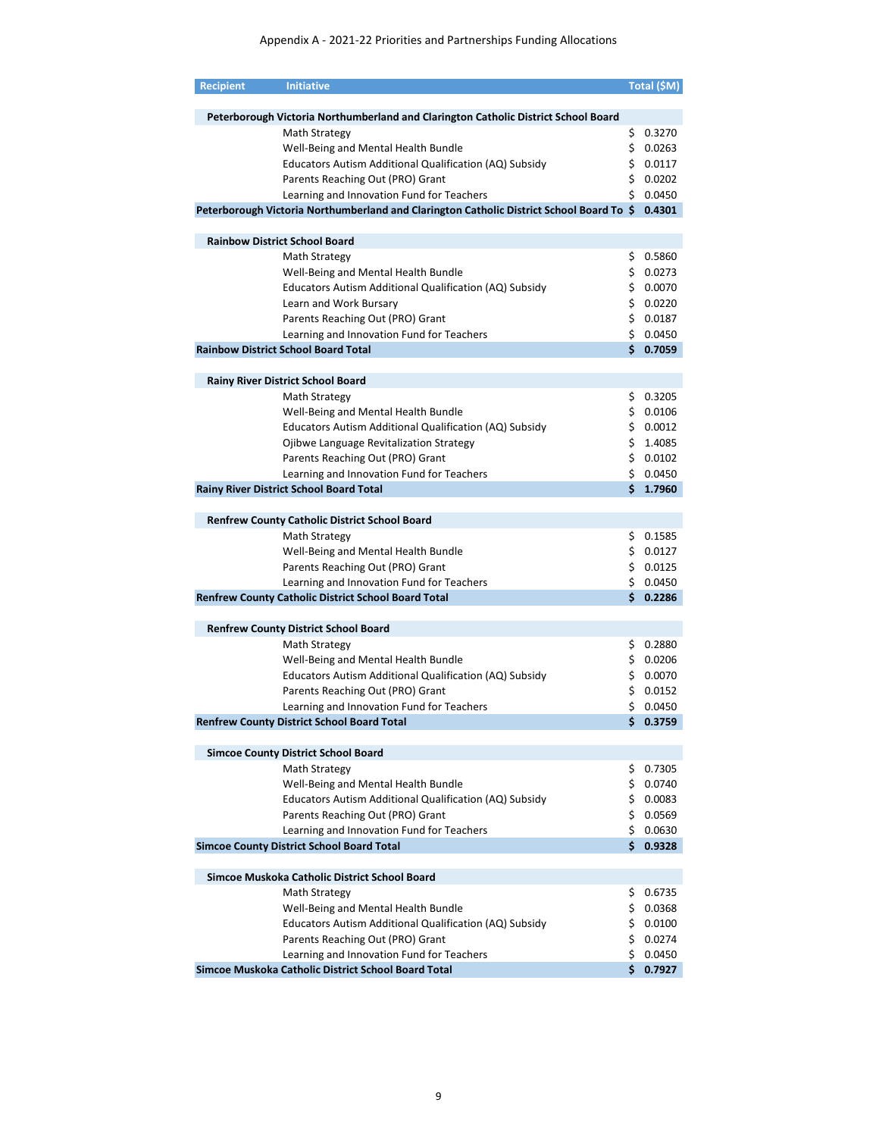| <b>Recipient</b> | <b>Initiative</b>                                                                        |     | Total (\$M)          |
|------------------|------------------------------------------------------------------------------------------|-----|----------------------|
|                  |                                                                                          |     |                      |
|                  | Peterborough Victoria Northumberland and Clarington Catholic District School Board       |     |                      |
|                  | Math Strategy                                                                            | \$. | 0.3270               |
|                  | Well-Being and Mental Health Bundle                                                      |     | \$0.0263             |
|                  | Educators Autism Additional Qualification (AQ) Subsidy                                   |     | \$0.0117             |
|                  | Parents Reaching Out (PRO) Grant                                                         |     | \$0.0202             |
|                  | Learning and Innovation Fund for Teachers                                                |     | \$0.0450             |
|                  | Peterborough Victoria Northumberland and Clarington Catholic District School Board To \$ |     | 0.4301               |
|                  | <b>Rainbow District School Board</b>                                                     |     |                      |
|                  | Math Strategy                                                                            | \$  | 0.5860               |
|                  | Well-Being and Mental Health Bundle                                                      |     | \$0.0273             |
|                  | Educators Autism Additional Qualification (AQ) Subsidy                                   |     | \$0.0070             |
|                  | Learn and Work Bursary                                                                   |     | \$0.0220             |
|                  | Parents Reaching Out (PRO) Grant                                                         |     | \$0.0187             |
|                  | Learning and Innovation Fund for Teachers                                                |     | \$0.0450             |
|                  | <b>Rainbow District School Board Total</b>                                               |     | \$0.7059             |
|                  |                                                                                          |     |                      |
|                  | <b>Rainy River District School Board</b>                                                 |     |                      |
|                  | Math Strategy                                                                            | \$  | 0.3205<br>\$0.0106   |
|                  | Well-Being and Mental Health Bundle                                                      |     |                      |
|                  | Educators Autism Additional Qualification (AQ) Subsidy                                   |     | \$0.0012             |
|                  | Ojibwe Language Revitalization Strategy                                                  |     | \$1.4085<br>\$0.0102 |
|                  | Parents Reaching Out (PRO) Grant<br>Learning and Innovation Fund for Teachers            |     | \$0.0450             |
|                  | <b>Rainy River District School Board Total</b>                                           |     | \$1.7960             |
|                  |                                                                                          |     |                      |
|                  | <b>Renfrew County Catholic District School Board</b>                                     |     |                      |
|                  | Math Strategy                                                                            |     | \$0.1585             |
|                  | Well-Being and Mental Health Bundle                                                      |     | \$0.0127             |
|                  | Parents Reaching Out (PRO) Grant                                                         |     | \$0.0125             |
|                  | Learning and Innovation Fund for Teachers                                                |     | \$0.0450             |
|                  | <b>Renfrew County Catholic District School Board Total</b>                               | Ś.  | 0.2286               |
|                  | <b>Renfrew County District School Board</b>                                              |     |                      |
|                  | Math Strategy                                                                            |     | \$ 0.2880            |
|                  | Well-Being and Mental Health Bundle                                                      |     | \$0.0206             |
|                  | Educators Autism Additional Qualification (AQ) Subsidy                                   |     | \$0.0070             |
|                  | Parents Reaching Out (PRO) Grant                                                         |     | \$0.0152             |
|                  | Learning and Innovation Fund for Teachers                                                |     | \$0.0450             |
|                  | <b>Renfrew County District School Board Total</b>                                        |     | \$0.3759             |
|                  |                                                                                          |     |                      |
|                  | <b>Simcoe County District School Board</b>                                               |     |                      |
|                  | Math Strategy                                                                            | \$  | 0.7305               |
|                  | Well-Being and Mental Health Bundle                                                      |     | \$0.0740             |
|                  | Educators Autism Additional Qualification (AQ) Subsidy                                   |     | \$0.0083             |
|                  | Parents Reaching Out (PRO) Grant                                                         |     | \$0.0569             |
|                  | Learning and Innovation Fund for Teachers                                                |     | \$0.0630             |
|                  | <b>Simcoe County District School Board Total</b>                                         |     | \$0.9328             |
|                  | Simcoe Muskoka Catholic District School Board                                            |     |                      |
|                  | Math Strategy                                                                            |     | \$0.6735             |
|                  | Well-Being and Mental Health Bundle                                                      |     | \$0.0368             |
|                  | Educators Autism Additional Qualification (AQ) Subsidy                                   |     | \$0.0100             |
|                  | Parents Reaching Out (PRO) Grant                                                         |     | \$0.0274             |
|                  | Learning and Innovation Fund for Teachers                                                |     | \$0.0450             |
|                  | Simcoe Muskoka Catholic District School Board Total                                      | Ś.  | 0.7927               |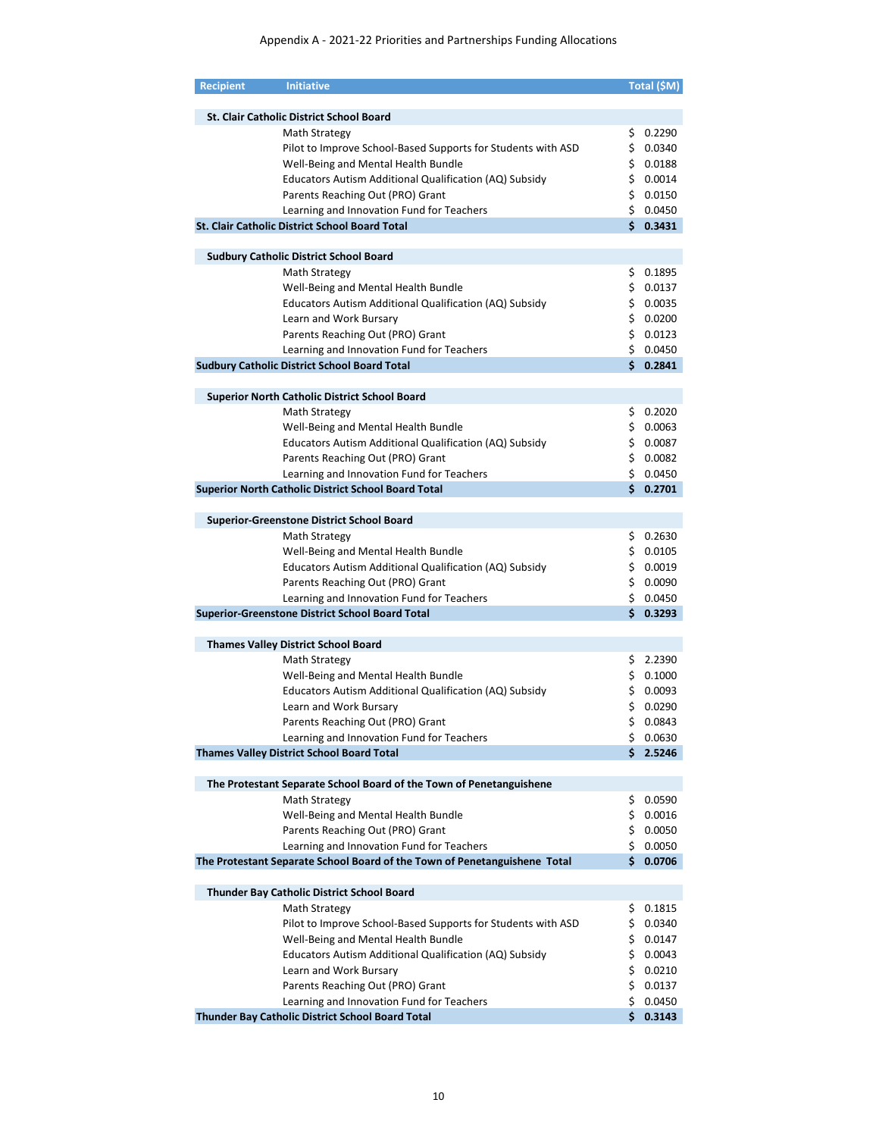| <b>Recipient</b> | <b>Initiative</b>                                                                                       |     | Total (\$M)          |
|------------------|---------------------------------------------------------------------------------------------------------|-----|----------------------|
|                  |                                                                                                         |     |                      |
|                  | <b>St. Clair Catholic District School Board</b>                                                         |     |                      |
|                  | Math Strategy                                                                                           | \$. | 0.2290               |
|                  | Pilot to Improve School-Based Supports for Students with ASD                                            | \$. | 0.0340               |
|                  | Well-Being and Mental Health Bundle                                                                     |     | \$0.0188             |
|                  | Educators Autism Additional Qualification (AQ) Subsidy                                                  |     | \$0.0014             |
|                  | Parents Reaching Out (PRO) Grant                                                                        |     | \$0.0150             |
|                  | Learning and Innovation Fund for Teachers                                                               |     | \$0.0450             |
|                  | <b>St. Clair Catholic District School Board Total</b>                                                   |     | \$0.3431             |
|                  |                                                                                                         |     |                      |
|                  | <b>Sudbury Catholic District School Board</b>                                                           |     |                      |
|                  | Math Strategy                                                                                           | \$  | 0.1895               |
|                  | Well-Being and Mental Health Bundle                                                                     | \$. | 0.0137               |
|                  | Educators Autism Additional Qualification (AQ) Subsidy                                                  | \$. | 0.0035               |
|                  | Learn and Work Bursary                                                                                  |     | \$0.0200             |
|                  | Parents Reaching Out (PRO) Grant                                                                        | \$. | 0.0123               |
|                  | Learning and Innovation Fund for Teachers                                                               |     | \$0.0450             |
|                  | <b>Sudbury Catholic District School Board Total</b>                                                     |     | \$0.2841             |
|                  |                                                                                                         |     |                      |
|                  | <b>Superior North Catholic District School Board</b>                                                    |     |                      |
|                  | <b>Math Strategy</b>                                                                                    | \$. | 0.2020               |
|                  | Well-Being and Mental Health Bundle                                                                     | \$. | 0.0063               |
|                  | Educators Autism Additional Qualification (AQ) Subsidy                                                  |     | \$0.0087             |
|                  | Parents Reaching Out (PRO) Grant                                                                        |     | \$0.0082             |
|                  |                                                                                                         |     |                      |
|                  | Learning and Innovation Fund for Teachers<br><b>Superior North Catholic District School Board Total</b> |     | \$0.0450<br>\$0.2701 |
|                  |                                                                                                         |     |                      |
|                  |                                                                                                         |     |                      |
|                  | <b>Superior-Greenstone District School Board</b>                                                        |     |                      |
|                  | Math Strategy                                                                                           | \$. | 0.2630               |
|                  | Well-Being and Mental Health Bundle                                                                     |     | \$0.0105             |
|                  | Educators Autism Additional Qualification (AQ) Subsidy                                                  |     | \$0.0019             |
|                  | Parents Reaching Out (PRO) Grant                                                                        |     | \$0.0090             |
|                  | Learning and Innovation Fund for Teachers                                                               |     | \$0.0450             |
|                  | Superior-Greenstone District School Board Total                                                         |     | \$0.3293             |
|                  |                                                                                                         |     |                      |
|                  | <b>Thames Valley District School Board</b>                                                              |     |                      |
|                  | Math Strategy                                                                                           |     | \$2.2390             |
|                  | Well-Being and Mental Health Bundle                                                                     |     | \$0.1000             |
|                  | Educators Autism Additional Qualification (AQ) Subsidy                                                  |     | \$0.0093             |
|                  | Learn and Work Bursary                                                                                  | \$. | 0.0290               |
|                  | Parents Reaching Out (PRO) Grant                                                                        |     | \$0.0843             |
|                  | Learning and Innovation Fund for Teachers                                                               | \$  | 0.0630               |
|                  | <b>Thames Valley District School Board Total</b>                                                        | \$. | 2.5246               |
|                  |                                                                                                         |     |                      |
|                  | The Protestant Separate School Board of the Town of Penetanguishene                                     |     |                      |
|                  | Math Strategy                                                                                           | \$  | 0.0590               |
|                  | Well-Being and Mental Health Bundle                                                                     | \$  | 0.0016               |
|                  | Parents Reaching Out (PRO) Grant                                                                        | \$  | 0.0050               |
|                  | Learning and Innovation Fund for Teachers                                                               | \$. | 0.0050               |
|                  | The Protestant Separate School Board of the Town of Penetanguishene Total                               | \$. | 0.0706               |
|                  |                                                                                                         |     |                      |
|                  | <b>Thunder Bay Catholic District School Board</b>                                                       |     |                      |
|                  | Math Strategy                                                                                           | \$  | 0.1815               |
|                  | Pilot to Improve School-Based Supports for Students with ASD                                            | \$  | 0.0340               |
|                  | Well-Being and Mental Health Bundle                                                                     | \$  | 0.0147               |
|                  | Educators Autism Additional Qualification (AQ) Subsidy                                                  | \$  | 0.0043               |
|                  | Learn and Work Bursary                                                                                  | \$  | 0.0210               |
|                  | Parents Reaching Out (PRO) Grant                                                                        | \$  | 0.0137               |
|                  | Learning and Innovation Fund for Teachers                                                               | \$  | 0.0450               |
|                  | Thunder Bay Catholic District School Board Total                                                        | Ś.  | 0.3143               |
|                  |                                                                                                         |     |                      |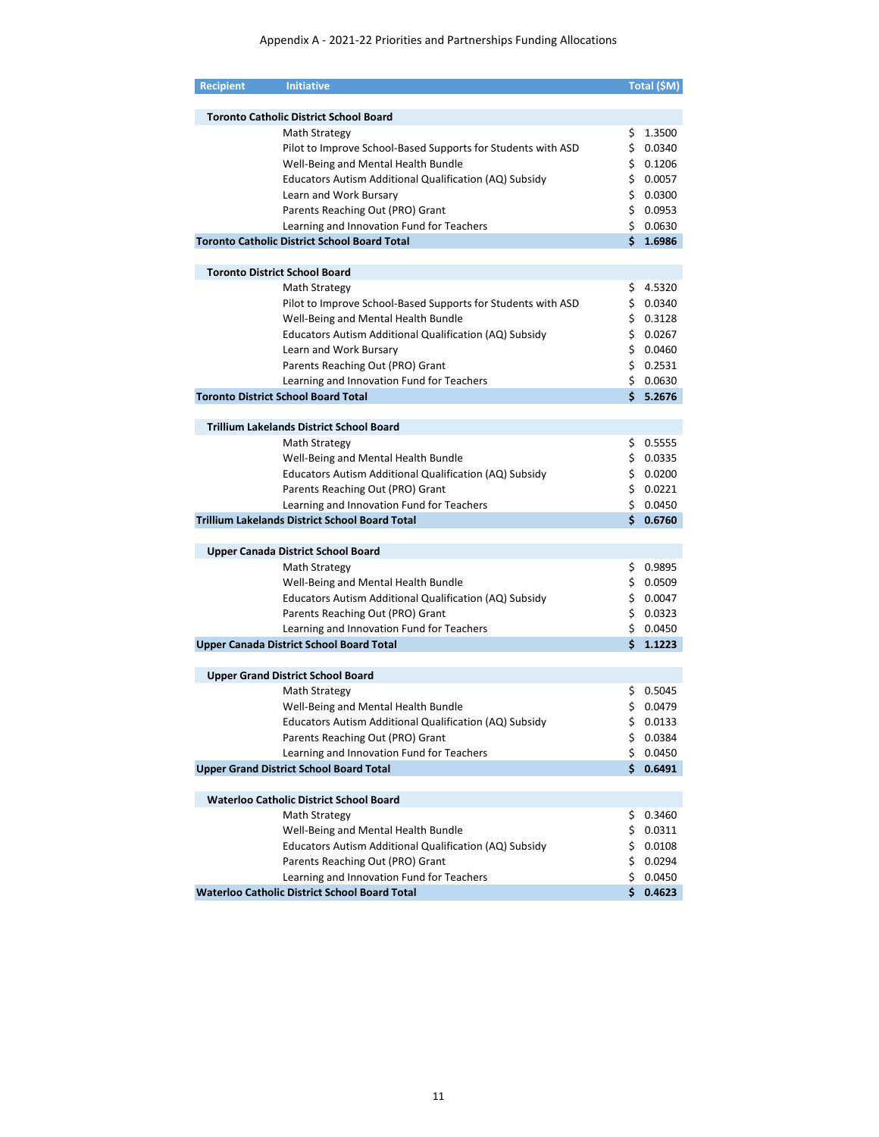| <b>Recipient</b> | <b>Initiative</b>                                                             |     | Total (\$M) |
|------------------|-------------------------------------------------------------------------------|-----|-------------|
|                  |                                                                               |     |             |
|                  | <b>Toronto Catholic District School Board</b>                                 |     |             |
|                  | Math Strategy                                                                 | \$. | 1.3500      |
|                  | Pilot to Improve School-Based Supports for Students with ASD                  |     | \$0.0340    |
|                  | Well-Being and Mental Health Bundle                                           |     | \$0.1206    |
|                  | Educators Autism Additional Qualification (AQ) Subsidy                        |     | \$0.0057    |
|                  | Learn and Work Bursary                                                        |     | \$0.0300    |
|                  | Parents Reaching Out (PRO) Grant                                              |     | \$0.0953    |
|                  | Learning and Innovation Fund for Teachers                                     |     | \$0.0630    |
|                  | <b>Toronto Catholic District School Board Total</b>                           |     | \$1.6986    |
|                  |                                                                               |     |             |
|                  | <b>Toronto District School Board</b>                                          |     |             |
|                  | Math Strategy                                                                 | \$. | 4.5320      |
|                  | Pilot to Improve School-Based Supports for Students with ASD                  |     | \$0.0340    |
|                  | Well-Being and Mental Health Bundle                                           |     | \$0.3128    |
|                  | Educators Autism Additional Qualification (AQ) Subsidy                        |     | \$0.0267    |
|                  | Learn and Work Bursary                                                        |     | \$0.0460    |
|                  | Parents Reaching Out (PRO) Grant                                              |     | \$0.2531    |
|                  | Learning and Innovation Fund for Teachers                                     |     | \$0.0630    |
|                  | <b>Toronto District School Board Total</b>                                    |     | \$5.2676    |
|                  | <b>Trillium Lakelands District School Board</b>                               |     |             |
|                  | Math Strategy                                                                 |     | \$0.5555    |
|                  | Well-Being and Mental Health Bundle                                           |     | \$0.0335    |
|                  |                                                                               |     | \$0.0200    |
|                  | Educators Autism Additional Qualification (AQ) Subsidy                        |     | \$0.0221    |
|                  | Parents Reaching Out (PRO) Grant<br>Learning and Innovation Fund for Teachers |     | \$0.0450    |
|                  | <b>Trillium Lakelands District School Board Total</b>                         | Ś.  | 0.6760      |
|                  |                                                                               |     |             |
|                  | Upper Canada District School Board                                            |     |             |
|                  | Math Strategy                                                                 |     | \$0.9895    |
|                  | Well-Being and Mental Health Bundle                                           |     | \$0.0509    |
|                  | Educators Autism Additional Qualification (AQ) Subsidy                        |     | \$0.0047    |
|                  | Parents Reaching Out (PRO) Grant                                              |     | \$0.0323    |
|                  | Learning and Innovation Fund for Teachers                                     |     | \$0.0450    |
|                  | <b>Upper Canada District School Board Total</b>                               |     | \$1.1223    |
|                  |                                                                               |     |             |
|                  | <b>Upper Grand District School Board</b>                                      |     |             |
|                  | Math Strategy                                                                 |     | \$0.5045    |
|                  | Well-Being and Mental Health Bundle                                           | \$. | 0.0479      |
|                  | Educators Autism Additional Qualification (AQ) Subsidy                        |     | \$0.0133    |
|                  | Parents Reaching Out (PRO) Grant                                              | \$. | 0.0384      |
|                  | Learning and Innovation Fund for Teachers                                     | \$  | 0.0450      |
|                  | <b>Upper Grand District School Board Total</b>                                |     | \$0.6491    |
|                  |                                                                               |     |             |
|                  | <b>Waterloo Catholic District School Board</b>                                |     |             |
|                  | Math Strategy                                                                 | Ş.  | 0.3460      |
|                  | Well-Being and Mental Health Bundle                                           | \$  | 0.0311      |
|                  | Educators Autism Additional Qualification (AQ) Subsidy                        |     | \$0.0108    |
|                  | Parents Reaching Out (PRO) Grant                                              |     | \$0.0294    |
|                  | Learning and Innovation Fund for Teachers                                     |     | \$0.0450    |
|                  | <b>Waterloo Catholic District School Board Total</b>                          | \$. | 0.4623      |